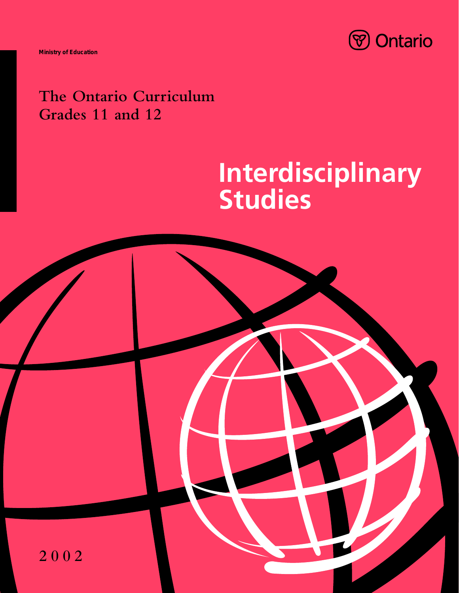

**Ministry of Education**

## **The Ontario Curriculum Grades 11 and 12**

# **Interdisciplinary Studies**

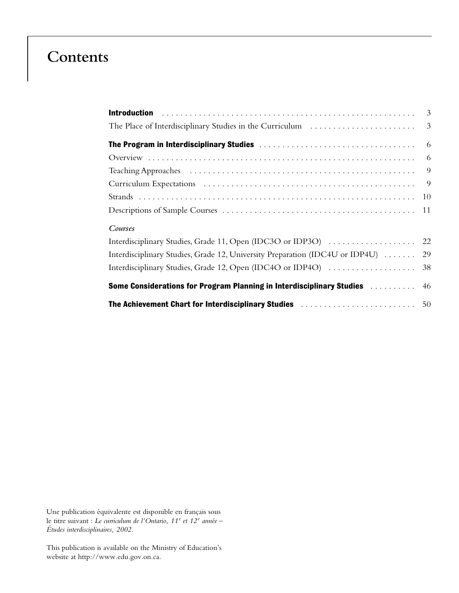### **Contents**

| Courses                                                                                            |  |
|----------------------------------------------------------------------------------------------------|--|
| Interdisciplinary Studies, Grade 11, Open (IDC3O or IDP3O)  22                                     |  |
| Interdisciplinary Studies, Grade 12, University Preparation (IDC4U or IDP4U)  29                   |  |
|                                                                                                    |  |
| <b>Some Considerations for Program Planning in Interdisciplinary Studies Actual Adduct Adducts</b> |  |
| <b>The Achievement Chart for Interdisciplinary Studies mature Action Active Achievement Chart</b>  |  |

Une publication équivalente est disponible en français sous le titre suivant : *Le curriculum de l'Ontario, 11<sup>e</sup> et 12<sup>e</sup> année – Études interdisciplinaires, 2002.*

This publication is available on the Ministry of Education's website at http://www.edu.gov.on.ca.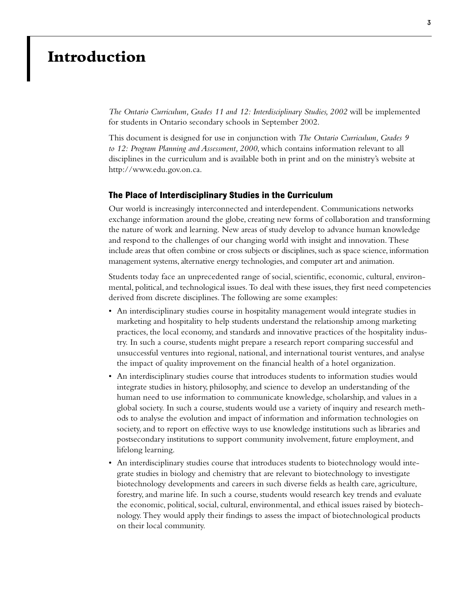### **Introduction**

*The Ontario Curriculum, Grades 11 and 12: Interdisciplinary Studies, 2002* will be implemented for students in Ontario secondary schools in September 2002.

This document is designed for use in conjunction with *The Ontario Curriculum, Grades 9 to 12: Program Planning and Assessment, 2000*, which contains information relevant to all disciplines in the curriculum and is available both in print and on the ministry's website at http://www.edu.gov.on.ca.

#### **The Place of Interdisciplinary Studies in the Curriculum**

Our world is increasingly interconnected and interdependent. Communications networks exchange information around the globe, creating new forms of collaboration and transforming the nature of work and learning. New areas of study develop to advance human knowledge and respond to the challenges of our changing world with insight and innovation. These include areas that often combine or cross subjects or disciplines, such as space science, information management systems, alternative energy technologies, and computer art and animation.

Students today face an unprecedented range of social, scientific, economic, cultural, environmental, political, and technological issues. To deal with these issues, they first need competencies derived from discrete disciplines. The following are some examples:

- An interdisciplinary studies course in hospitality management would integrate studies in marketing and hospitality to help students understand the relationship among marketing practices, the local economy, and standards and innovative practices of the hospitality industry. In such a course, students might prepare a research report comparing successful and unsuccessful ventures into regional, national, and international tourist ventures, and analyse the impact of quality improvement on the financial health of a hotel organization.
- An interdisciplinary studies course that introduces students to information studies would integrate studies in history, philosophy, and science to develop an understanding of the human need to use information to communicate knowledge, scholarship, and values in a global society. In such a course, students would use a variety of inquiry and research methods to analyse the evolution and impact of information and information technologies on society, and to report on effective ways to use knowledge institutions such as libraries and postsecondary institutions to support community involvement, future employment, and lifelong learning.
- An interdisciplinary studies course that introduces students to biotechnology would integrate studies in biology and chemistry that are relevant to biotechnology to investigate biotechnology developments and careers in such diverse fields as health care, agriculture, forestry, and marine life. In such a course, students would research key trends and evaluate the economic, political, social, cultural, environmental, and ethical issues raised by biotechnology. They would apply their findings to assess the impact of biotechnological products on their local community.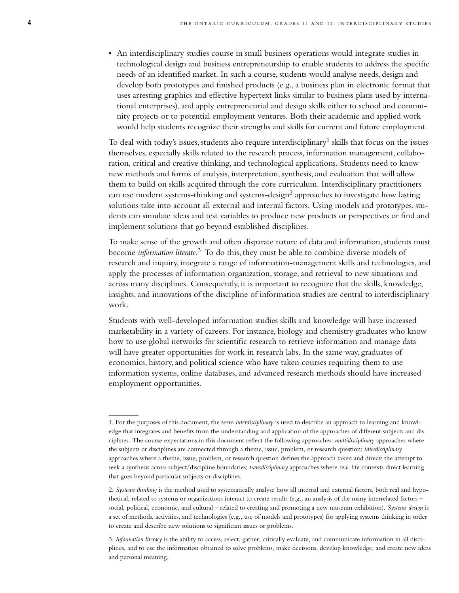• An interdisciplinary studies course in small business operations would integrate studies in technological design and business entrepreneurship to enable students to address the specific needs of an identified market. In such a course, students would analyse needs, design and develop both prototypes and finished products (e.g., a business plan in electronic format that uses arresting graphics and effective hypertext links similar to business plans used by international enterprises), and apply entrepreneurial and design skills either to school and community projects or to potential employment ventures. Both their academic and applied work would help students recognize their strengths and skills for current and future employment.

To deal with today's issues, students also require interdisciplinary<sup>1</sup> skills that focus on the issues themselves, especially skills related to the research process, information management, collaboration, critical and creative thinking, and technological applications. Students need to know new methods and forms of analysis, interpretation, synthesis, and evaluation that will allow them to build on skills acquired through the core curriculum. Interdisciplinary practitioners can use modern systems-thinking and systems-design<sup>2</sup> approaches to investigate how lasting solutions take into account all external and internal factors. Using models and prototypes, students can simulate ideas and test variables to produce new products or perspectives or find and implement solutions that go beyond established disciplines.

To make sense of the growth and often disparate nature of data and information, students must become *information literate.*<sup>3</sup> To do this, they must be able to combine diverse models of research and inquiry, integrate a range of information-management skills and technologies, and apply the processes of information organization, storage, and retrieval to new situations and across many disciplines. Consequently, it is important to recognize that the skills, knowledge, insights, and innovations of the discipline of information studies are central to interdisciplinary work.

Students with well-developed information studies skills and knowledge will have increased marketability in a variety of careers. For instance, biology and chemistry graduates who know how to use global networks for scientific research to retrieve information and manage data will have greater opportunities for work in research labs. In the same way, graduates of economics, history, and political science who have taken courses requiring them to use information systems, online databases, and advanced research methods should have increased employment opportunities.

<sup>1.</sup> For the purposes of this document, the term *interdisciplinary* is used to describe an approach to learning and knowledge that integrates and benefits from the understanding and application of the approaches of different subjects and disciplines. The course expectations in this document reflect the following approaches: *multidisciplinary* approaches where the subjects or disciplines are connected through a theme, issue, problem, or research question; *interdisciplinary* approaches where a theme, issue, problem, or research question defines the approach taken and directs the attempt to seek a synthesis across subject/discipline boundaries; *transdisciplinary* approaches where real-life contexts direct learning that goes beyond particular subjects or disciplines.

<sup>2.</sup> *Systems thinking* is the method used to systematically analyse how all internal and external factors, both real and hypothetical, related to systems or organizations interact to create results (e.g., an analysis of the many interrelated factors – social, political, economic, and cultural – related to creating and promoting a new museum exhibition). *Systems design* is a set of methods, activities, and technologies (e.g., use of models and prototypes) for applying systems thinking in order to create and describe new solutions to significant issues or problems.

<sup>3.</sup> *Information literacy* is the ability to access, select, gather, critically evaluate, and communicate information in all disciplines, and to use the information obtained to solve problems, make decisions, develop knowledge, and create new ideas and personal meaning.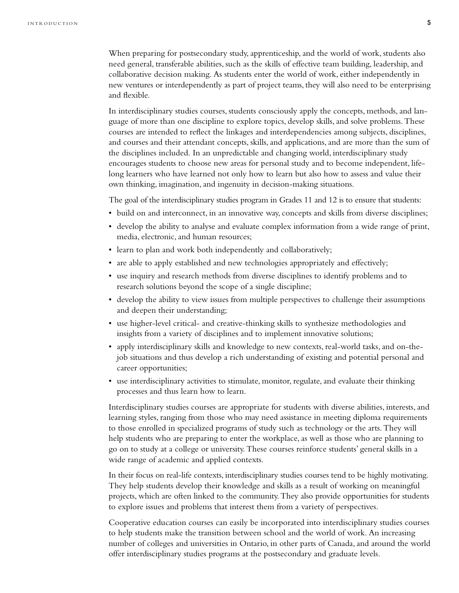When preparing for postsecondary study, apprenticeship, and the world of work, students also need general, transferable abilities, such as the skills of effective team building, leadership, and collaborative decision making. As students enter the world of work, either independently in new ventures or interdependently as part of project teams, they will also need to be enterprising and flexible.

In interdisciplinary studies courses, students consciously apply the concepts, methods, and language of more than one discipline to explore topics, develop skills, and solve problems. These courses are intended to reflect the linkages and interdependencies among subjects, disciplines, and courses and their attendant concepts, skills, and applications, and are more than the sum of the disciplines included. In an unpredictable and changing world, interdisciplinary study encourages students to choose new areas for personal study and to become independent, lifelong learners who have learned not only how to learn but also how to assess and value their own thinking, imagination, and ingenuity in decision-making situations.

The goal of the interdisciplinary studies program in Grades 11 and 12 is to ensure that students:

- build on and interconnect, in an innovative way, concepts and skills from diverse disciplines;
- develop the ability to analyse and evaluate complex information from a wide range of print, media, electronic, and human resources;
- learn to plan and work both independently and collaboratively;
- are able to apply established and new technologies appropriately and effectively;
- use inquiry and research methods from diverse disciplines to identify problems and to research solutions beyond the scope of a single discipline;
- develop the ability to view issues from multiple perspectives to challenge their assumptions and deepen their understanding;
- use higher-level critical- and creative-thinking skills to synthesize methodologies and insights from a variety of disciplines and to implement innovative solutions;
- apply interdisciplinary skills and knowledge to new contexts, real-world tasks, and on-thejob situations and thus develop a rich understanding of existing and potential personal and career opportunities;
- use interdisciplinary activities to stimulate, monitor, regulate, and evaluate their thinking processes and thus learn how to learn.

Interdisciplinary studies courses are appropriate for students with diverse abilities, interests, and learning styles, ranging from those who may need assistance in meeting diploma requirements to those enrolled in specialized programs of study such as technology or the arts. They will help students who are preparing to enter the workplace, as well as those who are planning to go on to study at a college or university. These courses reinforce students' general skills in a wide range of academic and applied contexts.

In their focus on real-life contexts, interdisciplinary studies courses tend to be highly motivating. They help students develop their knowledge and skills as a result of working on meaningful projects, which are often linked to the community. They also provide opportunities for students to explore issues and problems that interest them from a variety of perspectives.

Cooperative education courses can easily be incorporated into interdisciplinary studies courses to help students make the transition between school and the world of work. An increasing number of colleges and universities in Ontario, in other parts of Canada, and around the world offer interdisciplinary studies programs at the postsecondary and graduate levels.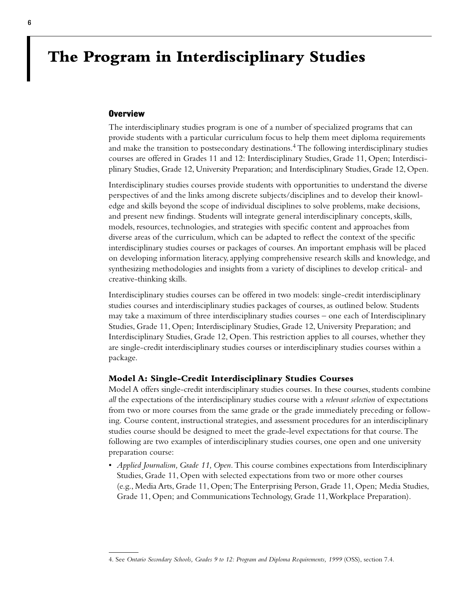### **The Program in Interdisciplinary Studies**

#### **Overview**

The interdisciplinary studies program is one of a number of specialized programs that can provide students with a particular curriculum focus to help them meet diploma requirements and make the transition to postsecondary destinations.<sup>4</sup> The following interdisciplinary studies courses are offered in Grades 11 and 12: Interdisciplinary Studies, Grade 11, Open; Interdisciplinary Studies, Grade 12, University Preparation; and Interdisciplinary Studies, Grade 12, Open.

Interdisciplinary studies courses provide students with opportunities to understand the diverse perspectives of and the links among discrete subjects/disciplines and to develop their knowledge and skills beyond the scope of individual disciplines to solve problems, make decisions, and present new findings. Students will integrate general interdisciplinary concepts, skills, models, resources, technologies, and strategies with specific content and approaches from diverse areas of the curriculum, which can be adapted to reflect the context of the specific interdisciplinary studies courses or packages of courses. An important emphasis will be placed on developing information literacy, applying comprehensive research skills and knowledge, and synthesizing methodologies and insights from a variety of disciplines to develop critical- and creative-thinking skills.

Interdisciplinary studies courses can be offered in two models: single-credit interdisciplinary studies courses and interdisciplinary studies packages of courses, as outlined below. Students may take a maximum of three interdisciplinary studies courses – one each of Interdisciplinary Studies, Grade 11, Open; Interdisciplinary Studies, Grade 12, University Preparation; and Interdisciplinary Studies, Grade 12, Open. This restriction applies to all courses, whether they are single-credit interdisciplinary studies courses or interdisciplinary studies courses within a package.

#### **Model A: Single-Credit Interdisciplinary Studies Courses**

Model A offers single-credit interdisciplinary studies courses. In these courses, students combine *all* the expectations of the interdisciplinary studies course with a *relevant selection* of expectations from two or more courses from the same grade or the grade immediately preceding or following. Course content, instructional strategies, and assessment procedures for an interdisciplinary studies course should be designed to meet the grade-level expectations for that course. The following are two examples of interdisciplinary studies courses, one open and one university preparation course:

• *Applied Journalism, Grade 11, Open.*This course combines expectations from Interdisciplinary Studies, Grade 11, Open with selected expectations from two or more other courses (e.g., Media Arts, Grade 11, Open; The Enterprising Person, Grade 11, Open; Media Studies, Grade 11, Open; and Communications Technology, Grade 11,Workplace Preparation).

<sup>4.</sup> See *Ontario Secondary Schools, Grades 9 to 12: Program and Diploma Requirements, 1999* (OSS), section 7.4.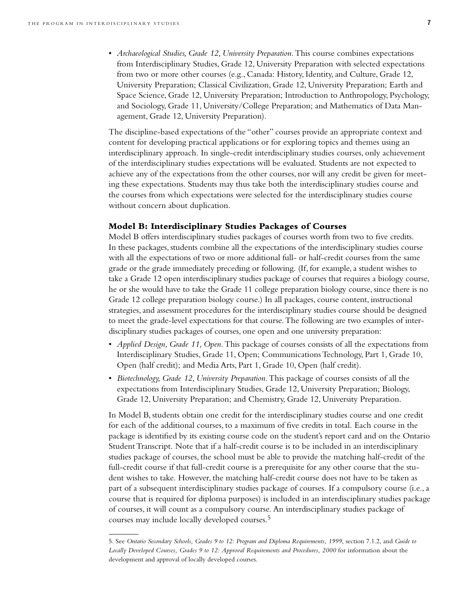• *Archaeological Studies, Grade 12, University Preparation*. This course combines expectations from Interdisciplinary Studies, Grade 12, University Preparation with selected expectations from two or more other courses (e.g., Canada: History, Identity, and Culture, Grade 12, University Preparation; Classical Civilization, Grade 12, University Preparation; Earth and Space Science, Grade 12, University Preparation; Introduction to Anthropology, Psychology, and Sociology, Grade 11, University/College Preparation; and Mathematics of Data Management, Grade 12, University Preparation).

The discipline-based expectations of the "other" courses provide an appropriate context and content for developing practical applications or for exploring topics and themes using an interdisciplinary approach. In single-credit interdisciplinary studies courses, only achievement of the interdisciplinary studies expectations will be evaluated. Students are not expected to achieve any of the expectations from the other courses, nor will any credit be given for meeting these expectations. Students may thus take both the interdisciplinary studies course and the courses from which expectations were selected for the interdisciplinary studies course without concern about duplication.

#### **Model B: Interdisciplinary Studies Packages of Courses**

Model B offers interdisciplinary studies packages of courses worth from two to five credits. In these packages, students combine all the expectations of the interdisciplinary studies course with all the expectations of two or more additional full- or half-credit courses from the same grade or the grade immediately preceding or following. (If, for example, a student wishes to take a Grade 12 open interdisciplinary studies package of courses that requires a biology course, he or she would have to take the Grade 11 college preparation biology course, since there is no Grade 12 college preparation biology course.) In all packages, course content, instructional strategies, and assessment procedures for the interdisciplinary studies course should be designed to meet the grade-level expectations for that course. The following are two examples of interdisciplinary studies packages of courses, one open and one university preparation:

- *Applied Design, Grade 11, Open*. This package of courses consists of all the expectations from Interdisciplinary Studies, Grade 11, Open; Communications Technology, Part 1, Grade 10, Open (half credit); and Media Arts, Part 1, Grade 10, Open (half credit).
- *Biotechnology, Grade 12, University Preparation*. This package of courses consists of all the expectations from Interdisciplinary Studies, Grade 12, University Preparation; Biology, Grade 12, University Preparation; and Chemistry, Grade 12, University Preparation.

In Model B, students obtain one credit for the interdisciplinary studies course and one credit for each of the additional courses, to a maximum of five credits in total. Each course in the package is identified by its existing course code on the student's report card and on the Ontario Student Transcript. Note that if a half-credit course is to be included in an interdisciplinary studies package of courses, the school must be able to provide the matching half-credit of the full-credit course if that full-credit course is a prerequisite for any other course that the student wishes to take. However, the matching half-credit course does not have to be taken as part of a subsequent interdisciplinary studies package of courses. If a compulsory course (i.e., a course that is required for diploma purposes) is included in an interdisciplinary studies package of courses, it will count as a compulsory course. An interdisciplinary studies package of courses may include locally developed courses.5

<sup>5.</sup> See *Ontario Secondary Schools, Grades 9 to 12: Program and Diploma Requirements, 1999*, section 7.1.2, and *Guide to Locally Developed Courses, Grades 9 to 12: Approval Requirements and Procedures, 2000* for information about the development and approval of locally developed courses.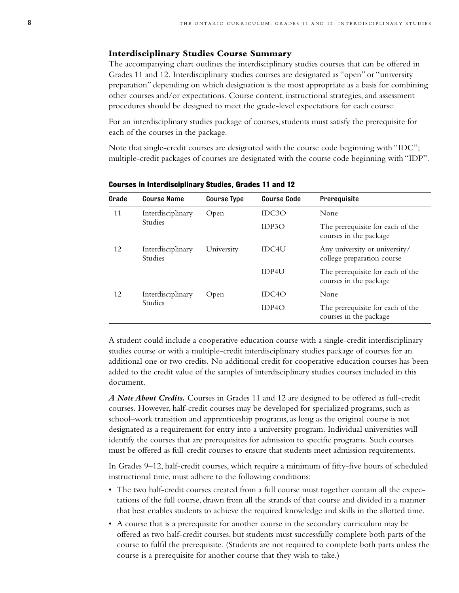#### **Interdisciplinary Studies Course Summary**

The accompanying chart outlines the interdisciplinary studies courses that can be offered in Grades 11 and 12. Interdisciplinary studies courses are designated as "open" or "university preparation" depending on which designation is the most appropriate as a basis for combining other courses and/or expectations. Course content, instructional strategies, and assessment procedures should be designed to meet the grade-level expectations for each course.

For an interdisciplinary studies package of courses, students must satisfy the prerequisite for each of the courses in the package.

Note that single-credit courses are designated with the course code beginning with "IDC"; multiple-credit packages of courses are designated with the course code beginning with "IDP".

| Grade | <b>Course Name</b>                  | <b>Course Type</b> | <b>Course Code</b> | Prerequisite                                                |
|-------|-------------------------------------|--------------------|--------------------|-------------------------------------------------------------|
| 11    | Interdisciplinary<br><b>Studies</b> | Open               | IDC3O              | None                                                        |
|       |                                     |                    | IDP3O              | The prerequisite for each of the<br>courses in the package  |
| 12    | Interdisciplinary<br><b>Studies</b> | University         | <b>IDC4U</b>       | Any university or university/<br>college preparation course |
|       |                                     |                    | IDP4U              | The prerequisite for each of the<br>courses in the package  |
| 12    | Interdisciplinary<br><b>Studies</b> | Open               | IDC <sub>4</sub> O | None                                                        |
|       |                                     |                    | IDPAO              | The prerequisite for each of the<br>courses in the package  |

**Courses in Interdisciplinary Studies, Grades 11 and 12**

A student could include a cooperative education course with a single-credit interdisciplinary studies course or with a multiple-credit interdisciplinary studies package of courses for an additional one or two credits. No additional credit for cooperative education courses has been added to the credit value of the samples of interdisciplinary studies courses included in this document.

*A Note About Credits.* Courses in Grades 11 and 12 are designed to be offered as full-credit courses. However, half-credit courses may be developed for specialized programs, such as school–work transition and apprenticeship programs, as long as the original course is not designated as a requirement for entry into a university program. Individual universities will identify the courses that are prerequisites for admission to specific programs. Such courses must be offered as full-credit courses to ensure that students meet admission requirements.

In Grades 9–12, half-credit courses, which require a minimum of fifty-five hours of scheduled instructional time, must adhere to the following conditions:

- The two half-credit courses created from a full course must together contain all the expectations of the full course, drawn from all the strands of that course and divided in a manner that best enables students to achieve the required knowledge and skills in the allotted time.
- A course that is a prerequisite for another course in the secondary curriculum may be offered as two half-credit courses, but students must successfully complete both parts of the course to fulfil the prerequisite. (Students are not required to complete both parts unless the course is a prerequisite for another course that they wish to take.)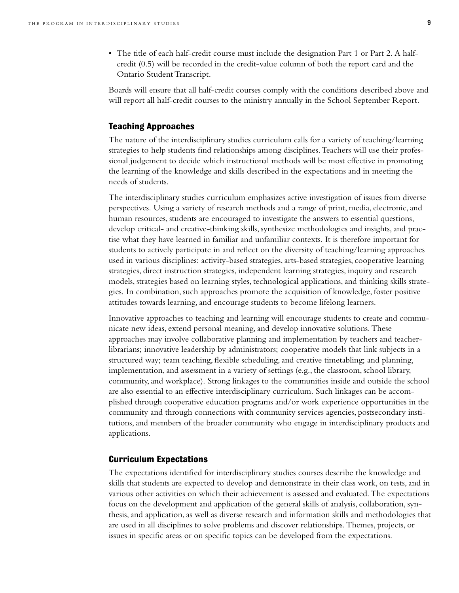• The title of each half-credit course must include the designation Part 1 or Part 2. A halfcredit (0.5) will be recorded in the credit-value column of both the report card and the Ontario Student Transcript.

Boards will ensure that all half-credit courses comply with the conditions described above and will report all half-credit courses to the ministry annually in the School September Report.

#### **Teaching Approaches**

The nature of the interdisciplinary studies curriculum calls for a variety of teaching/learning strategies to help students find relationships among disciplines. Teachers will use their professional judgement to decide which instructional methods will be most effective in promoting the learning of the knowledge and skills described in the expectations and in meeting the needs of students.

The interdisciplinary studies curriculum emphasizes active investigation of issues from diverse perspectives. Using a variety of research methods and a range of print, media, electronic, and human resources, students are encouraged to investigate the answers to essential questions, develop critical- and creative-thinking skills, synthesize methodologies and insights, and practise what they have learned in familiar and unfamiliar contexts. It is therefore important for students to actively participate in and reflect on the diversity of teaching/learning approaches used in various disciplines: activity-based strategies, arts-based strategies, cooperative learning strategies, direct instruction strategies, independent learning strategies, inquiry and research models, strategies based on learning styles, technological applications, and thinking skills strategies. In combination, such approaches promote the acquisition of knowledge, foster positive attitudes towards learning, and encourage students to become lifelong learners.

Innovative approaches to teaching and learning will encourage students to create and communicate new ideas, extend personal meaning, and develop innovative solutions. These approaches may involve collaborative planning and implementation by teachers and teacherlibrarians; innovative leadership by administrators; cooperative models that link subjects in a structured way; team teaching, flexible scheduling, and creative timetabling; and planning, implementation, and assessment in a variety of settings (e.g., the classroom, school library, community, and workplace). Strong linkages to the communities inside and outside the school are also essential to an effective interdisciplinary curriculum. Such linkages can be accomplished through cooperative education programs and/or work experience opportunities in the community and through connections with community services agencies, postsecondary institutions, and members of the broader community who engage in interdisciplinary products and applications.

#### **Curriculum Expectations**

The expectations identified for interdisciplinary studies courses describe the knowledge and skills that students are expected to develop and demonstrate in their class work, on tests, and in various other activities on which their achievement is assessed and evaluated. The expectations focus on the development and application of the general skills of analysis, collaboration, synthesis, and application, as well as diverse research and information skills and methodologies that are used in all disciplines to solve problems and discover relationships. Themes, projects, or issues in specific areas or on specific topics can be developed from the expectations.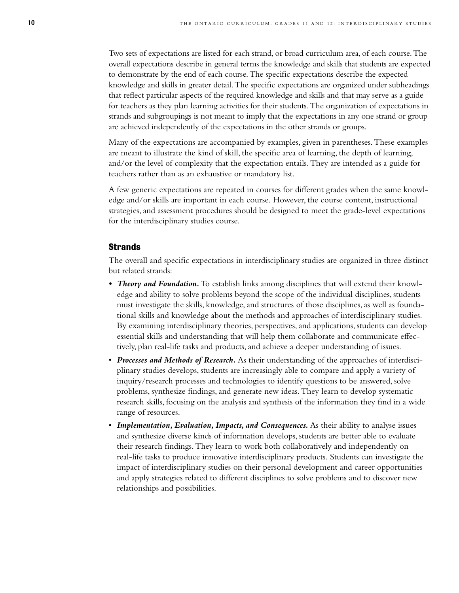Two sets of expectations are listed for each strand, or broad curriculum area, of each course.The overall expectations describe in general terms the knowledge and skills that students are expected to demonstrate by the end of each course.The specific expectations describe the expected knowledge and skills in greater detail.The specific expectations are organized under subheadings that reflect particular aspects of the required knowledge and skills and that may serve as a guide for teachers as they plan learning activities for their students.The organization of expectations in strands and subgroupings is not meant to imply that the expectations in any one strand or group are achieved independently of the expectations in the other strands or groups.

Many of the expectations are accompanied by examples, given in parentheses. These examples are meant to illustrate the kind of skill, the specific area of learning, the depth of learning, and/or the level of complexity that the expectation entails. They are intended as a guide for teachers rather than as an exhaustive or mandatory list.

A few generic expectations are repeated in courses for different grades when the same knowledge and/or skills are important in each course. However, the course content, instructional strategies, and assessment procedures should be designed to meet the grade-level expectations for the interdisciplinary studies course.

#### **Strands**

The overall and specific expectations in interdisciplinary studies are organized in three distinct but related strands:

- *Theory and Foundation.*To establish links among disciplines that will extend their knowledge and ability to solve problems beyond the scope of the individual disciplines, students must investigate the skills, knowledge, and structures of those disciplines, as well as foundational skills and knowledge about the methods and approaches of interdisciplinary studies. By examining interdisciplinary theories, perspectives, and applications, students can develop essential skills and understanding that will help them collaborate and communicate effectively, plan real-life tasks and products, and achieve a deeper understanding of issues.
- *Processes and Methods of Research.* As their understanding of the approaches of interdisciplinary studies develops, students are increasingly able to compare and apply a variety of inquiry/research processes and technologies to identify questions to be answered, solve problems, synthesize findings, and generate new ideas. They learn to develop systematic research skills, focusing on the analysis and synthesis of the information they find in a wide range of resources.
- *Implementation, Evaluation, Impacts, and Consequences.* As their ability to analyse issues and synthesize diverse kinds of information develops, students are better able to evaluate their research findings. They learn to work both collaboratively and independently on real-life tasks to produce innovative interdisciplinary products. Students can investigate the impact of interdisciplinary studies on their personal development and career opportunities and apply strategies related to different disciplines to solve problems and to discover new relationships and possibilities.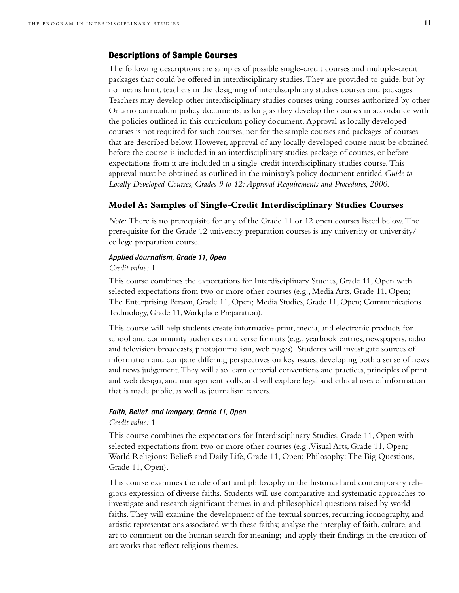#### **Descriptions of Sample Courses**

The following descriptions are samples of possible single-credit courses and multiple-credit packages that could be offered in interdisciplinary studies. They are provided to guide, but by no means limit, teachers in the designing of interdisciplinary studies courses and packages. Teachers may develop other interdisciplinary studies courses using courses authorized by other Ontario curriculum policy documents, as long as they develop the courses in accordance with the policies outlined in this curriculum policy document. Approval as locally developed courses is not required for such courses, nor for the sample courses and packages of courses that are described below. However, approval of any locally developed course must be obtained before the course is included in an interdisciplinary studies package of courses, or before expectations from it are included in a single-credit interdisciplinary studies course. This approval must be obtained as outlined in the ministry's policy document entitled *Guide to Locally Developed Courses, Grades 9 to 12: Approval Requirements and Procedures, 2000*.

#### **Model A: Samples of Single-Credit Interdisciplinary Studies Courses**

*Note:* There is no prerequisite for any of the Grade 11 or 12 open courses listed below. The prerequisite for the Grade 12 university preparation courses is any university or university/ college preparation course.

#### *Applied Journalism, Grade 11, Open*

#### *Credit value:* 1

This course combines the expectations for Interdisciplinary Studies, Grade 11, Open with selected expectations from two or more other courses (e.g., Media Arts, Grade 11, Open; The Enterprising Person, Grade 11, Open; Media Studies, Grade 11, Open; Communications Technology, Grade 11,Workplace Preparation).

This course will help students create informative print, media, and electronic products for school and community audiences in diverse formats (e.g., yearbook entries, newspapers, radio and television broadcasts, photojournalism, web pages). Students will investigate sources of information and compare differing perspectives on key issues, developing both a sense of news and news judgement.They will also learn editorial conventions and practices, principles of print and web design, and management skills, and will explore legal and ethical uses of information that is made public, as well as journalism careers.

#### *Faith, Belief, and Imagery, Grade 11, Open*

#### *Credit value:* 1

This course combines the expectations for Interdisciplinary Studies, Grade 11, Open with selected expectations from two or more other courses (e.g.,Visual Arts, Grade 11, Open; World Religions: Beliefs and Daily Life, Grade 11, Open; Philosophy: The Big Questions, Grade 11, Open).

This course examines the role of art and philosophy in the historical and contemporary religious expression of diverse faiths. Students will use comparative and systematic approaches to investigate and research significant themes in and philosophical questions raised by world faiths. They will examine the development of the textual sources, recurring iconography, and artistic representations associated with these faiths; analyse the interplay of faith, culture, and art to comment on the human search for meaning; and apply their findings in the creation of art works that reflect religious themes.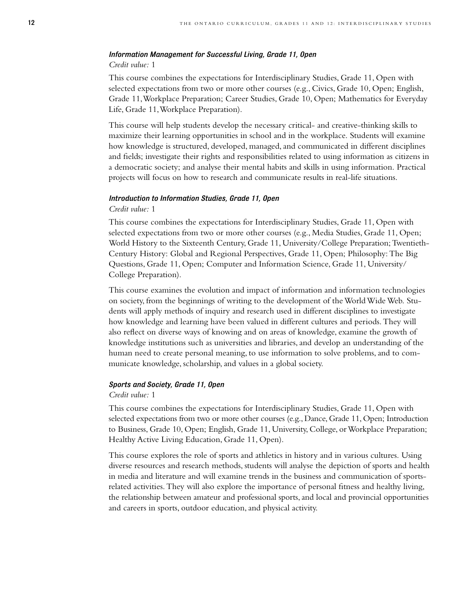#### *Information Management for Successful Living, Grade 11, Open*

#### *Credit value:* 1

This course combines the expectations for Interdisciplinary Studies, Grade 11, Open with selected expectations from two or more other courses (e.g., Civics, Grade 10, Open; English, Grade 11,Workplace Preparation; Career Studies, Grade 10, Open; Mathematics for Everyday Life, Grade 11,Workplace Preparation).

This course will help students develop the necessary critical- and creative-thinking skills to maximize their learning opportunities in school and in the workplace. Students will examine how knowledge is structured, developed, managed, and communicated in different disciplines and fields; investigate their rights and responsibilities related to using information as citizens in a democratic society; and analyse their mental habits and skills in using information. Practical projects will focus on how to research and communicate results in real-life situations.

#### *Introduction to Information Studies, Grade 11, Open*

#### *Credit value:* 1

This course combines the expectations for Interdisciplinary Studies, Grade 11, Open with selected expectations from two or more other courses (e.g., Media Studies, Grade 11, Open; World History to the Sixteenth Century, Grade 11, University/College Preparation; Twentieth-Century History: Global and Regional Perspectives, Grade 11, Open; Philosophy: The Big Questions, Grade 11, Open; Computer and Information Science, Grade 11, University/ College Preparation).

This course examines the evolution and impact of information and information technologies on society, from the beginnings of writing to the development of the World Wide Web. Students will apply methods of inquiry and research used in different disciplines to investigate how knowledge and learning have been valued in different cultures and periods. They will also reflect on diverse ways of knowing and on areas of knowledge, examine the growth of knowledge institutions such as universities and libraries, and develop an understanding of the human need to create personal meaning, to use information to solve problems, and to communicate knowledge, scholarship, and values in a global society.

#### *Sports and Society, Grade 11, Open*

#### *Credit value:* 1

This course combines the expectations for Interdisciplinary Studies, Grade 11, Open with selected expectations from two or more other courses (e.g., Dance, Grade 11, Open; Introduction to Business, Grade 10, Open; English, Grade 11, University, College, or Workplace Preparation; Healthy Active Living Education, Grade 11, Open).

This course explores the role of sports and athletics in history and in various cultures. Using diverse resources and research methods, students will analyse the depiction of sports and health in media and literature and will examine trends in the business and communication of sportsrelated activities. They will also explore the importance of personal fitness and healthy living, the relationship between amateur and professional sports, and local and provincial opportunities and careers in sports, outdoor education, and physical activity.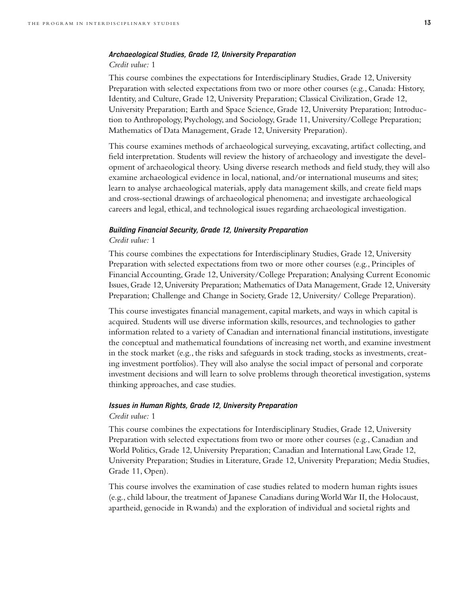#### *Archaeological Studies, Grade 12, University Preparation*

#### *Credit value:* 1

This course combines the expectations for Interdisciplinary Studies, Grade 12, University Preparation with selected expectations from two or more other courses (e.g., Canada: History, Identity, and Culture, Grade 12, University Preparation; Classical Civilization, Grade 12, University Preparation; Earth and Space Science, Grade 12, University Preparation; Introduction to Anthropology, Psychology, and Sociology, Grade 11, University/College Preparation; Mathematics of Data Management, Grade 12, University Preparation).

This course examines methods of archaeological surveying, excavating, artifact collecting, and field interpretation. Students will review the history of archaeology and investigate the development of archaeological theory. Using diverse research methods and field study, they will also examine archaeological evidence in local, national, and/or international museums and sites; learn to analyse archaeological materials, apply data management skills, and create field maps and cross-sectional drawings of archaeological phenomena; and investigate archaeological careers and legal, ethical, and technological issues regarding archaeological investigation.

#### *Building Financial Security, Grade 12, University Preparation*

#### *Credit value:* 1

This course combines the expectations for Interdisciplinary Studies, Grade 12, University Preparation with selected expectations from two or more other courses (e.g., Principles of Financial Accounting, Grade 12, University/College Preparation; Analysing Current Economic Issues, Grade 12, University Preparation; Mathematics of Data Management, Grade 12, University Preparation; Challenge and Change in Society, Grade 12, University/ College Preparation).

This course investigates financial management, capital markets, and ways in which capital is acquired. Students will use diverse information skills, resources, and technologies to gather information related to a variety of Canadian and international financial institutions, investigate the conceptual and mathematical foundations of increasing net worth, and examine investment in the stock market (e.g., the risks and safeguards in stock trading, stocks as investments, creating investment portfolios). They will also analyse the social impact of personal and corporate investment decisions and will learn to solve problems through theoretical investigation, systems thinking approaches, and case studies.

#### *Issues in Human Rights, Grade 12, University Preparation*

#### *Credit value:* 1

This course combines the expectations for Interdisciplinary Studies, Grade 12, University Preparation with selected expectations from two or more other courses (e.g., Canadian and World Politics, Grade 12, University Preparation; Canadian and International Law, Grade 12, University Preparation; Studies in Literature, Grade 12, University Preparation; Media Studies, Grade 11, Open).

This course involves the examination of case studies related to modern human rights issues (e.g., child labour, the treatment of Japanese Canadians during World War II, the Holocaust, apartheid, genocide in Rwanda) and the exploration of individual and societal rights and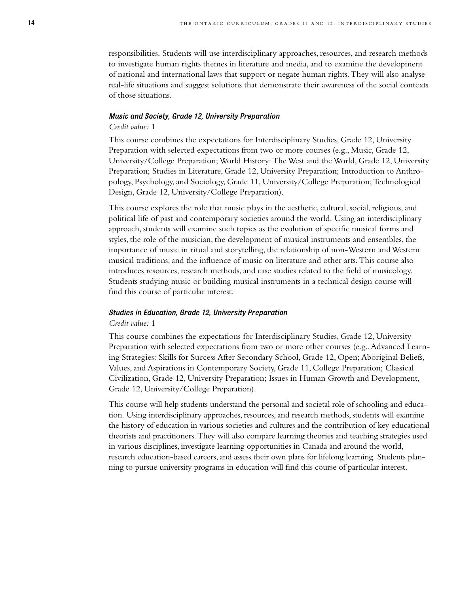responsibilities. Students will use interdisciplinary approaches, resources, and research methods to investigate human rights themes in literature and media, and to examine the development of national and international laws that support or negate human rights. They will also analyse real-life situations and suggest solutions that demonstrate their awareness of the social contexts of those situations.

#### *Music and Society, Grade 12, University Preparation*

#### *Credit value:* 1

This course combines the expectations for Interdisciplinary Studies, Grade 12, University Preparation with selected expectations from two or more courses (e.g., Music, Grade 12, University/College Preparation; World History: The West and the World, Grade 12, University Preparation; Studies in Literature, Grade 12, University Preparation; Introduction to Anthropology, Psychology, and Sociology, Grade 11, University/College Preparation; Technological Design, Grade 12, University/College Preparation).

This course explores the role that music plays in the aesthetic, cultural, social, religious, and political life of past and contemporary societies around the world. Using an interdisciplinary approach, students will examine such topics as the evolution of specific musical forms and styles, the role of the musician, the development of musical instruments and ensembles, the importance of music in ritual and storytelling, the relationship of non-Western and Western musical traditions, and the influence of music on literature and other arts. This course also introduces resources, research methods, and case studies related to the field of musicology. Students studying music or building musical instruments in a technical design course will find this course of particular interest.

#### *Studies in Education, Grade 12, University Preparation*

#### *Credit value:* 1

This course combines the expectations for Interdisciplinary Studies, Grade 12, University Preparation with selected expectations from two or more other courses (e.g.,Advanced Learning Strategies: Skills for Success After Secondary School, Grade 12, Open; Aboriginal Beliefs, Values, and Aspirations in Contemporary Society, Grade 11, College Preparation; Classical Civilization, Grade 12, University Preparation; Issues in Human Growth and Development, Grade 12, University/College Preparation).

This course will help students understand the personal and societal role of schooling and education. Using interdisciplinary approaches, resources, and research methods, students will examine the history of education in various societies and cultures and the contribution of key educational theorists and practitioners.They will also compare learning theories and teaching strategies used in various disciplines, investigate learning opportunities in Canada and around the world, research education-based careers, and assess their own plans for lifelong learning. Students planning to pursue university programs in education will find this course of particular interest.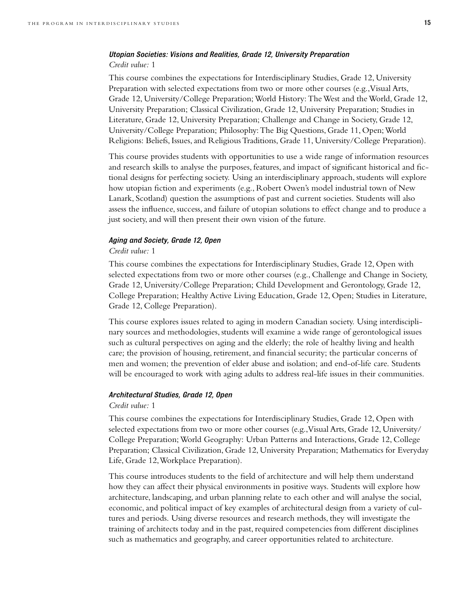#### *Utopian Societies: Visions and Realities, Grade 12, University Preparation Credit value:* 1

This course combines the expectations for Interdisciplinary Studies, Grade 12, University Preparation with selected expectations from two or more other courses (e.g., Visual Arts, Grade 12, University/College Preparation; World History: The West and the World, Grade 12, University Preparation; Classical Civilization, Grade 12, University Preparation; Studies in Literature, Grade 12, University Preparation; Challenge and Change in Society, Grade 12, University/College Preparation; Philosophy:The Big Questions, Grade 11, Open;World Religions: Beliefs, Issues, and Religious Traditions, Grade 11, University/College Preparation).

This course provides students with opportunities to use a wide range of information resources and research skills to analyse the purposes, features, and impact of significant historical and fictional designs for perfecting society. Using an interdisciplinary approach, students will explore how utopian fiction and experiments (e.g., Robert Owen's model industrial town of New Lanark, Scotland) question the assumptions of past and current societies. Students will also assess the influence, success, and failure of utopian solutions to effect change and to produce a just society, and will then present their own vision of the future.

#### *Aging and Society, Grade 12, Open*

#### *Credit value:* 1

This course combines the expectations for Interdisciplinary Studies, Grade 12, Open with selected expectations from two or more other courses (e.g., Challenge and Change in Society, Grade 12, University/College Preparation; Child Development and Gerontology, Grade 12, College Preparation; Healthy Active Living Education, Grade 12, Open; Studies in Literature, Grade 12, College Preparation).

This course explores issues related to aging in modern Canadian society. Using interdisciplinary sources and methodologies, students will examine a wide range of gerontological issues such as cultural perspectives on aging and the elderly; the role of healthy living and health care; the provision of housing, retirement, and financial security; the particular concerns of men and women; the prevention of elder abuse and isolation; and end-of-life care. Students will be encouraged to work with aging adults to address real-life issues in their communities.

#### *Architectural Studies, Grade 12, Open*

#### *Credit value:* 1

This course combines the expectations for Interdisciplinary Studies, Grade 12, Open with selected expectations from two or more other courses (e.g.,Visual Arts, Grade 12, University/ College Preparation; World Geography: Urban Patterns and Interactions, Grade 12, College Preparation; Classical Civilization, Grade 12, University Preparation; Mathematics for Everyday Life, Grade 12,Workplace Preparation).

This course introduces students to the field of architecture and will help them understand how they can affect their physical environments in positive ways. Students will explore how architecture, landscaping, and urban planning relate to each other and will analyse the social, economic, and political impact of key examples of architectural design from a variety of cultures and periods. Using diverse resources and research methods, they will investigate the training of architects today and in the past, required competencies from different disciplines such as mathematics and geography, and career opportunities related to architecture.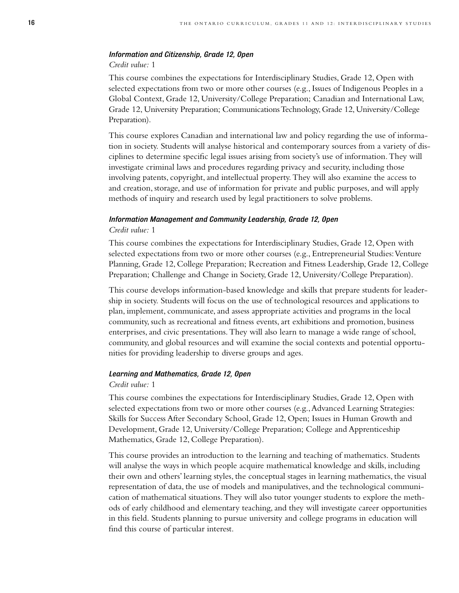#### *Information and Citizenship, Grade 12, Open*

#### *Credit value:* 1

This course combines the expectations for Interdisciplinary Studies, Grade 12, Open with selected expectations from two or more other courses (e.g., Issues of Indigenous Peoples in a Global Context, Grade 12, University/College Preparation; Canadian and International Law, Grade 12, University Preparation; Communications Technology, Grade 12, University/College Preparation).

This course explores Canadian and international law and policy regarding the use of information in society. Students will analyse historical and contemporary sources from a variety of disciplines to determine specific legal issues arising from society's use of information. They will investigate criminal laws and procedures regarding privacy and security, including those involving patents, copyright, and intellectual property. They will also examine the access to and creation, storage, and use of information for private and public purposes, and will apply methods of inquiry and research used by legal practitioners to solve problems.

#### *Information Management and Community Leadership, Grade 12, Open Credit value:* 1

This course combines the expectations for Interdisciplinary Studies, Grade 12, Open with selected expectations from two or more other courses (e.g., Entrepreneurial Studies: Venture Planning, Grade 12, College Preparation; Recreation and Fitness Leadership, Grade 12, College Preparation; Challenge and Change in Society, Grade 12, University/College Preparation).

This course develops information-based knowledge and skills that prepare students for leadership in society. Students will focus on the use of technological resources and applications to plan, implement, communicate, and assess appropriate activities and programs in the local community, such as recreational and fitness events, art exhibitions and promotion, business enterprises, and civic presentations. They will also learn to manage a wide range of school, community, and global resources and will examine the social contexts and potential opportunities for providing leadership to diverse groups and ages.

#### *Learning and Mathematics, Grade 12, Open*

#### *Credit value:* 1

This course combines the expectations for Interdisciplinary Studies, Grade 12, Open with selected expectations from two or more other courses (e.g.,Advanced Learning Strategies: Skills for Success After Secondary School, Grade 12, Open; Issues in Human Growth and Development, Grade 12, University/College Preparation; College and Apprenticeship Mathematics, Grade 12, College Preparation).

This course provides an introduction to the learning and teaching of mathematics. Students will analyse the ways in which people acquire mathematical knowledge and skills, including their own and others' learning styles, the conceptual stages in learning mathematics, the visual representation of data, the use of models and manipulatives, and the technological communication of mathematical situations. They will also tutor younger students to explore the methods of early childhood and elementary teaching, and they will investigate career opportunities in this field. Students planning to pursue university and college programs in education will find this course of particular interest.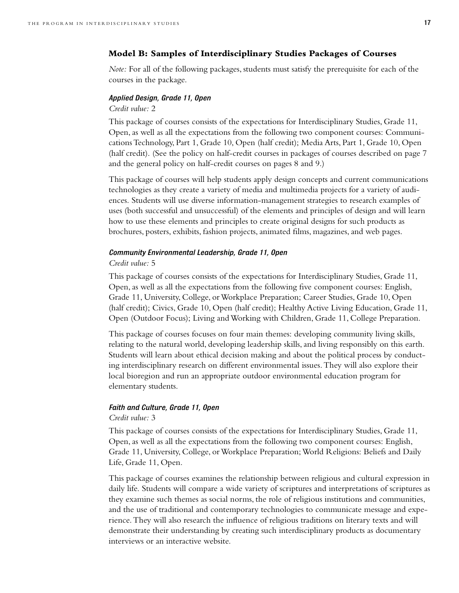#### **Model B: Samples of Interdisciplinary Studies Packages of Courses**

*Note:* For all of the following packages, students must satisfy the prerequisite for each of the courses in the package.

#### *Applied Design, Grade 11, Open*

#### *Credit value:* 2

This package of courses consists of the expectations for Interdisciplinary Studies, Grade 11, Open, as well as all the expectations from the following two component courses: Communications Technology, Part 1, Grade 10, Open (half credit); Media Arts, Part 1, Grade 10, Open (half credit). (See the policy on half-credit courses in packages of courses described on page 7 and the general policy on half-credit courses on pages 8 and 9.)

This package of courses will help students apply design concepts and current communications technologies as they create a variety of media and multimedia projects for a variety of audiences. Students will use diverse information-management strategies to research examples of uses (both successful and unsuccessful) of the elements and principles of design and will learn how to use these elements and principles to create original designs for such products as brochures, posters, exhibits, fashion projects, animated films, magazines, and web pages.

#### *Community Environmental Leadership, Grade 11, Open*

#### *Credit value:* 5

This package of courses consists of the expectations for Interdisciplinary Studies, Grade 11, Open, as well as all the expectations from the following five component courses: English, Grade 11, University, College, or Workplace Preparation; Career Studies, Grade 10, Open (half credit); Civics, Grade 10, Open (half credit); Healthy Active Living Education, Grade 11, Open (Outdoor Focus); Living and Working with Children, Grade 11, College Preparation.

This package of courses focuses on four main themes: developing community living skills, relating to the natural world, developing leadership skills, and living responsibly on this earth. Students will learn about ethical decision making and about the political process by conducting interdisciplinary research on different environmental issues. They will also explore their local bioregion and run an appropriate outdoor environmental education program for elementary students.

#### *Faith and Culture, Grade 11, Open*

#### *Credit value:* 3

This package of courses consists of the expectations for Interdisciplinary Studies, Grade 11, Open, as well as all the expectations from the following two component courses: English, Grade 11, University, College, or Workplace Preparation; World Religions: Beliefs and Daily Life, Grade 11, Open.

This package of courses examines the relationship between religious and cultural expression in daily life. Students will compare a wide variety of scriptures and interpretations of scriptures as they examine such themes as social norms, the role of religious institutions and communities, and the use of traditional and contemporary technologies to communicate message and experience. They will also research the influence of religious traditions on literary texts and will demonstrate their understanding by creating such interdisciplinary products as documentary interviews or an interactive website.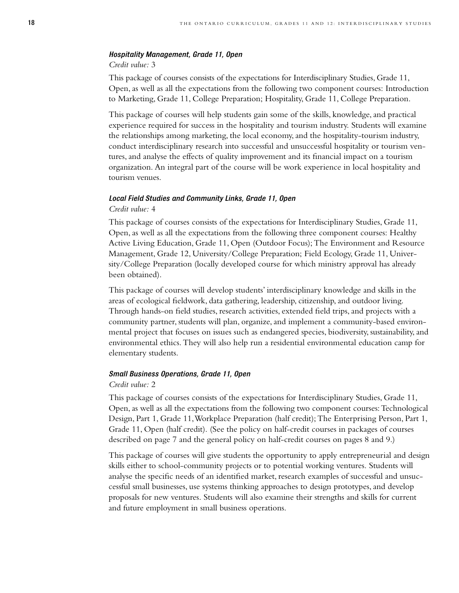#### *Hospitality Management, Grade 11, Open*

#### *Credit value:* 3

This package of courses consists of the expectations for Interdisciplinary Studies, Grade 11, Open, as well as all the expectations from the following two component courses: Introduction to Marketing, Grade 11, College Preparation; Hospitality, Grade 11, College Preparation.

This package of courses will help students gain some of the skills, knowledge, and practical experience required for success in the hospitality and tourism industry. Students will examine the relationships among marketing, the local economy, and the hospitality-tourism industry, conduct interdisciplinary research into successful and unsuccessful hospitality or tourism ventures, and analyse the effects of quality improvement and its financial impact on a tourism organization. An integral part of the course will be work experience in local hospitality and tourism venues.

#### *Local Field Studies and Community Links, Grade 11, Open*

#### *Credit value:* 4

This package of courses consists of the expectations for Interdisciplinary Studies, Grade 11, Open, as well as all the expectations from the following three component courses: Healthy Active Living Education, Grade 11, Open (Outdoor Focus); The Environment and Resource Management, Grade 12, University/College Preparation; Field Ecology, Grade 11, University/College Preparation (locally developed course for which ministry approval has already been obtained).

This package of courses will develop students' interdisciplinary knowledge and skills in the areas of ecological fieldwork, data gathering, leadership, citizenship, and outdoor living. Through hands-on field studies, research activities, extended field trips, and projects with a community partner, students will plan, organize, and implement a community-based environmental project that focuses on issues such as endangered species, biodiversity, sustainability, and environmental ethics. They will also help run a residential environmental education camp for elementary students.

#### *Small Business Operations, Grade 11, Open*

#### *Credit value:* 2

This package of courses consists of the expectations for Interdisciplinary Studies, Grade 11, Open, as well as all the expectations from the following two component courses: Technological Design, Part 1, Grade 11,Workplace Preparation (half credit); The Enterprising Person, Part 1, Grade 11, Open (half credit). (See the policy on half-credit courses in packages of courses described on page 7 and the general policy on half-credit courses on pages 8 and 9.)

This package of courses will give students the opportunity to apply entrepreneurial and design skills either to school-community projects or to potential working ventures. Students will analyse the specific needs of an identified market, research examples of successful and unsuccessful small businesses, use systems thinking approaches to design prototypes, and develop proposals for new ventures. Students will also examine their strengths and skills for current and future employment in small business operations.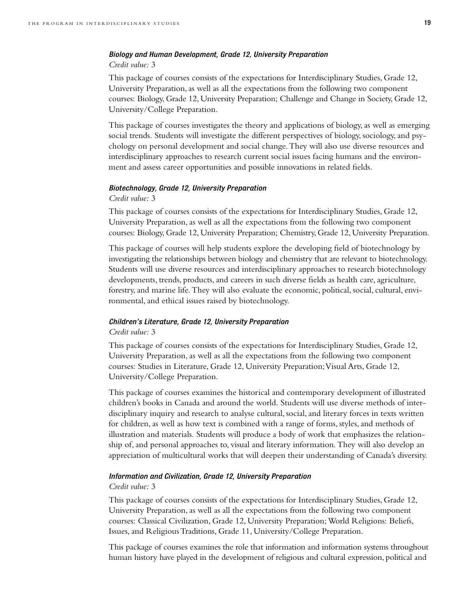#### *Biology and Human Development, Grade 12, University Preparation Credit value:* 3

This package of courses consists of the expectations for Interdisciplinary Studies, Grade 12, University Preparation, as well as all the expectations from the following two component courses: Biology, Grade 12, University Preparation; Challenge and Change in Society, Grade 12, University/College Preparation.

This package of courses investigates the theory and applications of biology, as well as emerging social trends. Students will investigate the different perspectives of biology, sociology, and psychology on personal development and social change. They will also use diverse resources and interdisciplinary approaches to research current social issues facing humans and the environment and assess career opportunities and possible innovations in related fields.

#### *Biotechnology, Grade 12, University Preparation*

*Credit value:* 3

This package of courses consists of the expectations for Interdisciplinary Studies, Grade 12, University Preparation, as well as all the expectations from the following two component courses: Biology, Grade 12, University Preparation; Chemistry, Grade 12, University Preparation.

This package of courses will help students explore the developing field of biotechnology by investigating the relationships between biology and chemistry that are relevant to biotechnology. Students will use diverse resources and interdisciplinary approaches to research biotechnology developments, trends, products, and careers in such diverse fields as health care, agriculture, forestry, and marine life. They will also evaluate the economic, political, social, cultural, environmental, and ethical issues raised by biotechnology.

#### *Children's Literature, Grade 12, University Preparation Credit value:* 3

This package of courses consists of the expectations for Interdisciplinary Studies, Grade 12, University Preparation, as well as all the expectations from the following two component courses: Studies in Literature, Grade 12, University Preparation;Visual Arts, Grade 12, University/College Preparation.

This package of courses examines the historical and contemporary development of illustrated children's books in Canada and around the world. Students will use diverse methods of interdisciplinary inquiry and research to analyse cultural, social, and literary forces in texts written for children, as well as how text is combined with a range of forms, styles, and methods of illustration and materials. Students will produce a body of work that emphasizes the relationship of, and personal approaches to, visual and literary information. They will also develop an appreciation of multicultural works that will deepen their understanding of Canada's diversity.

#### *Information and Civilization, Grade 12, University Preparation*

#### *Credit value:* 3

This package of courses consists of the expectations for Interdisciplinary Studies, Grade 12, University Preparation, as well as all the expectations from the following two component courses: Classical Civilization, Grade 12, University Preparation; World Religions: Beliefs, Issues, and Religious Traditions, Grade 11, University/College Preparation.

This package of courses examines the role that information and information systems throughout human history have played in the development of religious and cultural expression, political and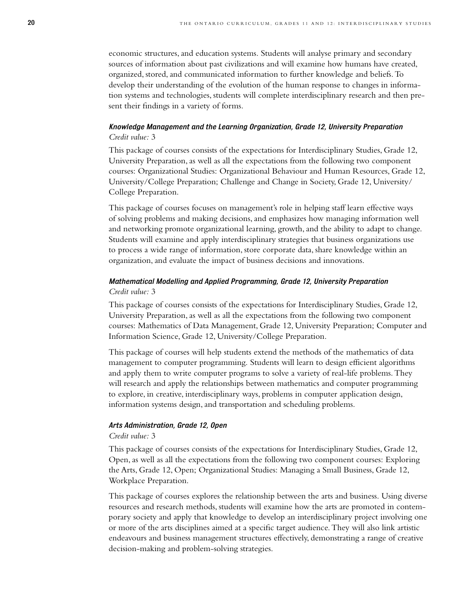economic structures, and education systems. Students will analyse primary and secondary sources of information about past civilizations and will examine how humans have created, organized, stored, and communicated information to further knowledge and beliefs. To develop their understanding of the evolution of the human response to changes in information systems and technologies, students will complete interdisciplinary research and then present their findings in a variety of forms.

#### *Knowledge Management and the Learning Organization, Grade 12, University Preparation Credit value:* 3

This package of courses consists of the expectations for Interdisciplinary Studies, Grade 12, University Preparation, as well as all the expectations from the following two component courses: Organizational Studies: Organizational Behaviour and Human Resources, Grade 12, University/College Preparation; Challenge and Change in Society, Grade 12, University/ College Preparation.

This package of courses focuses on management's role in helping staff learn effective ways of solving problems and making decisions, and emphasizes how managing information well and networking promote organizational learning, growth, and the ability to adapt to change. Students will examine and apply interdisciplinary strategies that business organizations use to process a wide range of information, store corporate data, share knowledge within an organization, and evaluate the impact of business decisions and innovations.

#### *Mathematical Modelling and Applied Programming, Grade 12, University Preparation Credit value:* 3

This package of courses consists of the expectations for Interdisciplinary Studies, Grade 12, University Preparation, as well as all the expectations from the following two component courses: Mathematics of Data Management, Grade 12, University Preparation; Computer and Information Science, Grade 12, University/College Preparation.

This package of courses will help students extend the methods of the mathematics of data management to computer programming. Students will learn to design efficient algorithms and apply them to write computer programs to solve a variety of real-life problems. They will research and apply the relationships between mathematics and computer programming to explore, in creative, interdisciplinary ways, problems in computer application design, information systems design, and transportation and scheduling problems.

#### *Arts Administration, Grade 12, Open*

#### *Credit value:* 3

This package of courses consists of the expectations for Interdisciplinary Studies, Grade 12, Open, as well as all the expectations from the following two component courses: Exploring the Arts, Grade 12, Open; Organizational Studies: Managing a Small Business, Grade 12, Workplace Preparation.

This package of courses explores the relationship between the arts and business. Using diverse resources and research methods, students will examine how the arts are promoted in contemporary society and apply that knowledge to develop an interdisciplinary project involving one or more of the arts disciplines aimed at a specific target audience. They will also link artistic endeavours and business management structures effectively, demonstrating a range of creative decision-making and problem-solving strategies.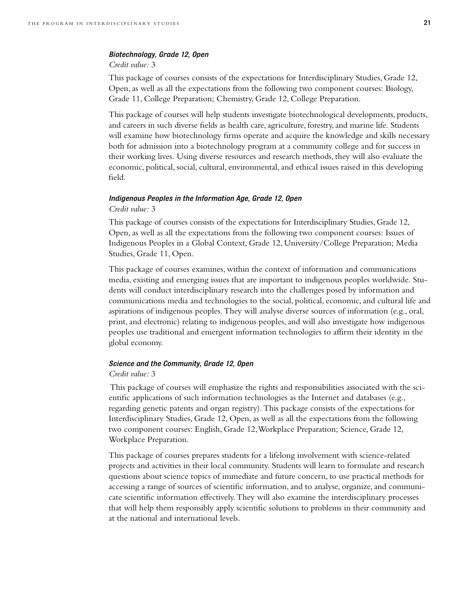#### *Biotechnology, Grade 12, Open*

#### *Credit value:* 3

This package of courses consists of the expectations for Interdisciplinary Studies, Grade 12, Open, as well as all the expectations from the following two component courses: Biology, Grade 11, College Preparation; Chemistry, Grade 12, College Preparation.

This package of courses will help students investigate biotechnological developments, products, and careers in such diverse fields as health care, agriculture, forestry, and marine life. Students will examine how biotechnology firms operate and acquire the knowledge and skills necessary both for admission into a biotechnology program at a community college and for success in their working lives. Using diverse resources and research methods, they will also evaluate the economic, political, social, cultural, environmental, and ethical issues raised in this developing field.

#### *Indigenous Peoples in the Information Age, Grade 12, Open*

#### *Credit value:* 3

This package of courses consists of the expectations for Interdisciplinary Studies, Grade 12, Open, as well as all the expectations from the following two component courses: Issues of Indigenous Peoples in a Global Context, Grade 12, University/College Preparation; Media Studies, Grade 11, Open.

This package of courses examines, within the context of information and communications media, existing and emerging issues that are important to indigenous peoples worldwide. Students will conduct interdisciplinary research into the challenges posed by information and communications media and technologies to the social, political, economic, and cultural life and aspirations of indigenous peoples. They will analyse diverse sources of information (e.g., oral, print, and electronic) relating to indigenous peoples, and will also investigate how indigenous peoples use traditional and emergent information technologies to affirm their identity in the global economy.

#### *Science and the Community, Grade 12, Open*

#### *Credit value:* 3

This package of courses will emphasize the rights and responsibilities associated with the scientific applications of such information technologies as the Internet and databases (e.g., regarding genetic patents and organ registry). This package consists of the expectations for Interdisciplinary Studies, Grade 12, Open, as well as all the expectations from the following two component courses: English, Grade 12,Workplace Preparation; Science, Grade 12, Workplace Preparation.

This package of courses prepares students for a lifelong involvement with science-related projects and activities in their local community. Students will learn to formulate and research questions about science topics of immediate and future concern, to use practical methods for accessing a range of sources of scientific information, and to analyse, organize, and communicate scientific information effectively. They will also examine the interdisciplinary processes that will help them responsibly apply scientific solutions to problems in their community and at the national and international levels.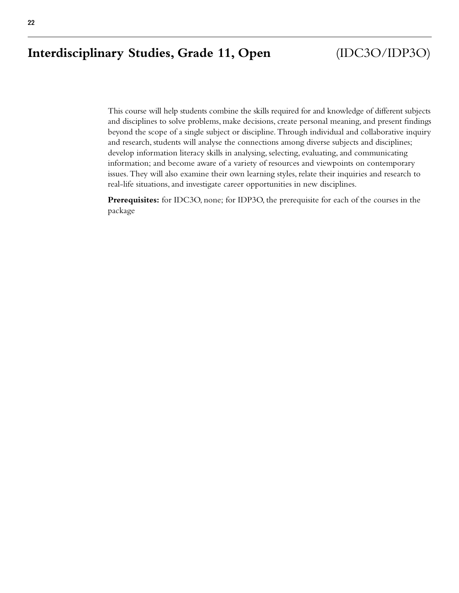### **Interdisciplinary Studies, Grade 11, Open** (IDC3O/IDP3O)

This course will help students combine the skills required for and knowledge of different subjects and disciplines to solve problems, make decisions, create personal meaning, and present findings beyond the scope of a single subject or discipline. Through individual and collaborative inquiry and research, students will analyse the connections among diverse subjects and disciplines; develop information literacy skills in analysing, selecting, evaluating, and communicating information; and become aware of a variety of resources and viewpoints on contemporary issues. They will also examine their own learning styles, relate their inquiries and research to real-life situations, and investigate career opportunities in new disciplines.

**Prerequisites:** for IDC3O, none; for IDP3O, the prerequisite for each of the courses in the package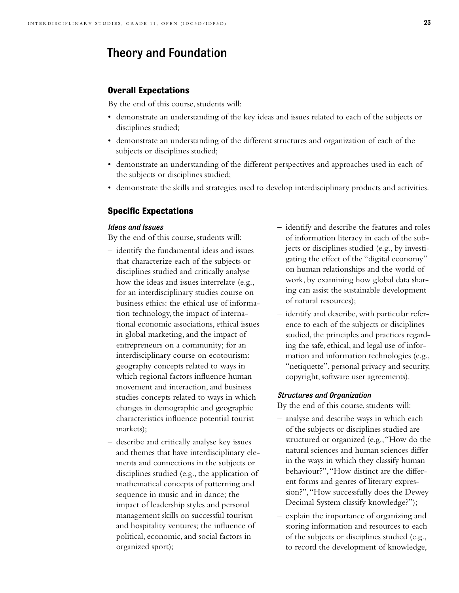### Theory and Foundation

#### **Overall Expectations**

By the end of this course, students will:

- demonstrate an understanding of the key ideas and issues related to each of the subjects or disciplines studied;
- demonstrate an understanding of the different structures and organization of each of the subjects or disciplines studied;
- demonstrate an understanding of the different perspectives and approaches used in each of the subjects or disciplines studied;
- demonstrate the skills and strategies used to develop interdisciplinary products and activities.

#### **Specific Expectations**

#### *Ideas and Issues*

By the end of this course, students will:

- identify the fundamental ideas and issues that characterize each of the subjects or disciplines studied and critically analyse how the ideas and issues interrelate (e.g., for an interdisciplinary studies course on business ethics: the ethical use of information technology, the impact of international economic associations, ethical issues in global marketing, and the impact of entrepreneurs on a community; for an interdisciplinary course on ecotourism: geography concepts related to ways in which regional factors influence human movement and interaction, and business studies concepts related to ways in which changes in demographic and geographic characteristics influence potential tourist markets);
- describe and critically analyse key issues and themes that have interdisciplinary elements and connections in the subjects or disciplines studied (e.g., the application of mathematical concepts of patterning and sequence in music and in dance; the impact of leadership styles and personal management skills on successful tourism and hospitality ventures; the influence of political, economic, and social factors in organized sport);
- identify and describe the features and roles of information literacy in each of the subjects or disciplines studied (e.g., by investigating the effect of the "digital economy" on human relationships and the world of work, by examining how global data sharing can assist the sustainable development of natural resources);
- identify and describe, with particular reference to each of the subjects or disciplines studied, the principles and practices regarding the safe, ethical, and legal use of information and information technologies (e.g., "netiquette", personal privacy and security, copyright, software user agreements).

#### *Structures and Organization*

- analyse and describe ways in which each of the subjects or disciplines studied are structured or organized (e.g.,"How do the natural sciences and human sciences differ in the ways in which they classify human behaviour?","How distinct are the different forms and genres of literary expression?","How successfully does the Dewey Decimal System classify knowledge?");
- explain the importance of organizing and storing information and resources to each of the subjects or disciplines studied (e.g., to record the development of knowledge,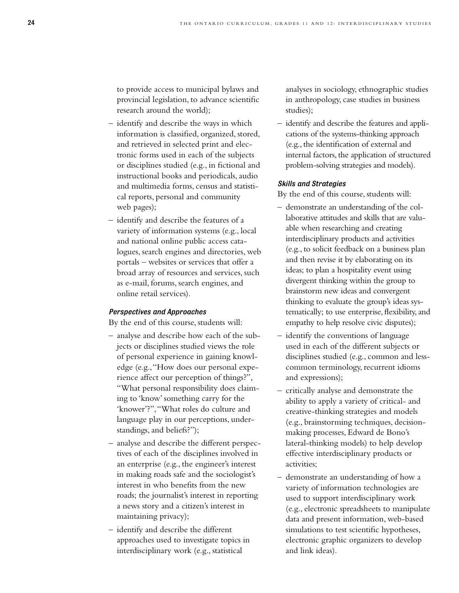to provide access to municipal bylaws and provincial legislation, to advance scientific research around the world);

- identify and describe the ways in which information is classified, organized, stored, and retrieved in selected print and electronic forms used in each of the subjects or disciplines studied (e.g., in fictional and instructional books and periodicals, audio and multimedia forms, census and statistical reports, personal and community web pages);
- identify and describe the features of a variety of information systems (e.g., local and national online public access catalogues, search engines and directories, web portals – websites or services that offer a broad array of resources and services, such as e-mail, forums, search engines, and online retail services).

#### *Perspectives and Approaches*

By the end of this course, students will:

- analyse and describe how each of the subjects or disciplines studied views the role of personal experience in gaining knowledge (e.g.,"How does our personal experience affect our perception of things?", "What personal responsibility does claiming to 'know' something carry for the 'knower'?","What roles do culture and language play in our perceptions, understandings, and beliefs?");
- analyse and describe the different perspectives of each of the disciplines involved in an enterprise (e.g., the engineer's interest in making roads safe and the sociologist's interest in who benefits from the new roads; the journalist's interest in reporting a news story and a citizen's interest in maintaining privacy);
- identify and describe the different approaches used to investigate topics in interdisciplinary work (e.g., statistical

analyses in sociology, ethnographic studies in anthropology, case studies in business studies);

– identify and describe the features and applications of the systems-thinking approach (e.g., the identification of external and internal factors, the application of structured problem-solving strategies and models).

#### *Skills and Strategies*

- demonstrate an understanding of the collaborative attitudes and skills that are valuable when researching and creating interdisciplinary products and activities (e.g., to solicit feedback on a business plan and then revise it by elaborating on its ideas; to plan a hospitality event using divergent thinking within the group to brainstorm new ideas and convergent thinking to evaluate the group's ideas systematically; to use enterprise, flexibility, and empathy to help resolve civic disputes);
- identify the conventions of language used in each of the different subjects or disciplines studied (e.g., common and lesscommon terminology, recurrent idioms and expressions);
- critically analyse and demonstrate the ability to apply a variety of critical- and creative-thinking strategies and models (e.g., brainstorming techniques, decisionmaking processes, Edward de Bono's lateral-thinking models) to help develop effective interdisciplinary products or activities;
- demonstrate an understanding of how a variety of information technologies are used to support interdisciplinary work (e.g., electronic spreadsheets to manipulate data and present information, web-based simulations to test scientific hypotheses, electronic graphic organizers to develop and link ideas).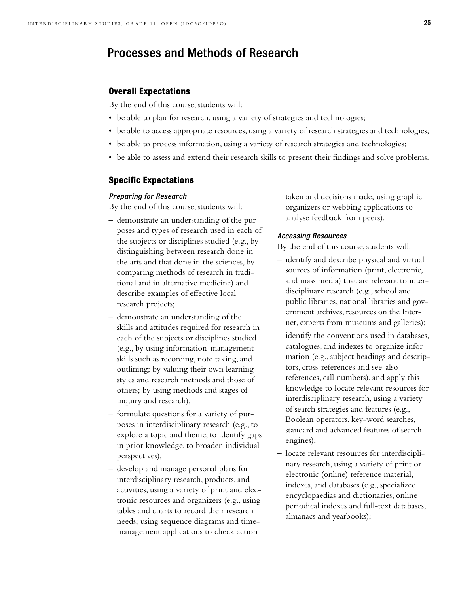### Processes and Methods of Research

#### **Overall Expectations**

By the end of this course, students will:

- be able to plan for research, using a variety of strategies and technologies;
- be able to access appropriate resources, using a variety of research strategies and technologies;
- be able to process information, using a variety of research strategies and technologies;
- be able to assess and extend their research skills to present their findings and solve problems.

#### **Specific Expectations**

#### *Preparing for Research*

By the end of this course, students will:

- demonstrate an understanding of the purposes and types of research used in each of the subjects or disciplines studied (e.g., by distinguishing between research done in the arts and that done in the sciences, by comparing methods of research in traditional and in alternative medicine) and describe examples of effective local research projects;
- demonstrate an understanding of the skills and attitudes required for research in each of the subjects or disciplines studied (e.g., by using information-management skills such as recording, note taking, and outlining; by valuing their own learning styles and research methods and those of others; by using methods and stages of inquiry and research);
- formulate questions for a variety of purposes in interdisciplinary research (e.g., to explore a topic and theme, to identify gaps in prior knowledge, to broaden individual perspectives);
- develop and manage personal plans for interdisciplinary research, products, and activities, using a variety of print and electronic resources and organizers (e.g., using tables and charts to record their research needs; using sequence diagrams and timemanagement applications to check action

taken and decisions made; using graphic organizers or webbing applications to analyse feedback from peers).

#### *Accessing Resources*

- identify and describe physical and virtual sources of information (print, electronic, and mass media) that are relevant to interdisciplinary research (e.g., school and public libraries, national libraries and government archives, resources on the Internet, experts from museums and galleries);
- identify the conventions used in databases, catalogues, and indexes to organize information (e.g., subject headings and descriptors, cross-references and see-also references, call numbers), and apply this knowledge to locate relevant resources for interdisciplinary research, using a variety of search strategies and features (e.g., Boolean operators, key-word searches, standard and advanced features of search engines);
- locate relevant resources for interdisciplinary research, using a variety of print or electronic (online) reference material, indexes, and databases (e.g., specialized encyclopaedias and dictionaries, online periodical indexes and full-text databases, almanacs and yearbooks);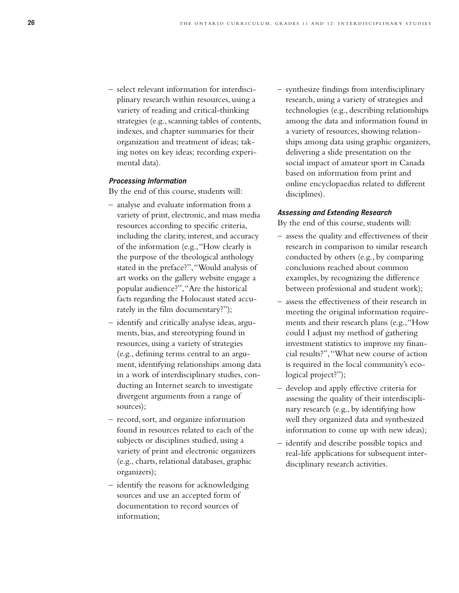– select relevant information for interdisciplinary research within resources, using a variety of reading and critical-thinking strategies (e.g., scanning tables of contents, indexes, and chapter summaries for their organization and treatment of ideas; taking notes on key ideas; recording experimental data).

#### *Processing Information*

By the end of this course, students will:

- analyse and evaluate information from a variety of print, electronic, and mass media resources according to specific criteria, including the clarity, interest, and accuracy of the information (e.g.,"How clearly is the purpose of the theological anthology stated in the preface?","Would analysis of art works on the gallery website engage a popular audience?","Are the historical facts regarding the Holocaust stated accurately in the film documentary?");
- identify and critically analyse ideas, arguments, bias, and stereotyping found in resources, using a variety of strategies (e.g., defining terms central to an argument, identifying relationships among data in a work of interdisciplinary studies, conducting an Internet search to investigate divergent arguments from a range of sources);
- record, sort, and organize information found in resources related to each of the subjects or disciplines studied, using a variety of print and electronic organizers (e.g., charts, relational databases, graphic organizers);
- identify the reasons for acknowledging sources and use an accepted form of documentation to record sources of information;

– synthesize findings from interdisciplinary research, using a variety of strategies and technologies (e.g., describing relationships among the data and information found in a variety of resources, showing relationships among data using graphic organizers, delivering a slide presentation on the social impact of amateur sport in Canada based on information from print and online encyclopaedias related to different disciplines).

#### *Assessing and Extending Research*

- assess the quality and effectiveness of their research in comparison to similar research conducted by others (e.g., by comparing conclusions reached about common examples, by recognizing the difference between professional and student work);
- assess the effectiveness of their research in meeting the original information requirements and their research plans (e.g.,"How could I adjust my method of gathering investment statistics to improve my financial results?","What new course of action is required in the local community's ecological project?");
- develop and apply effective criteria for assessing the quality of their interdisciplinary research (e.g., by identifying how well they organized data and synthesized information to come up with new ideas);
- identify and describe possible topics and real-life applications for subsequent interdisciplinary research activities.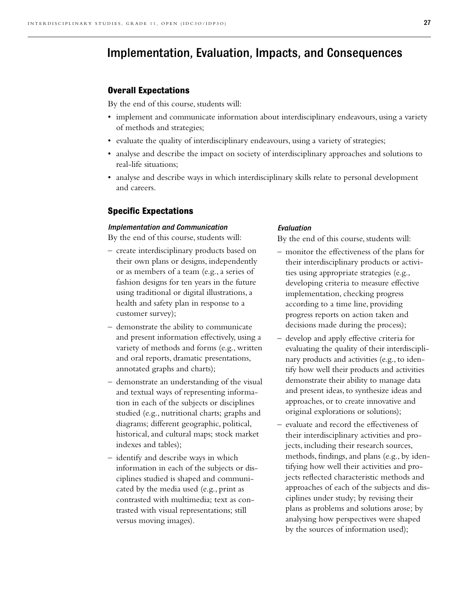### Implementation, Evaluation, Impacts, and Consequences

#### **Overall Expectations**

By the end of this course, students will:

- implement and communicate information about interdisciplinary endeavours, using a variety of methods and strategies;
- evaluate the quality of interdisciplinary endeavours, using a variety of strategies;
- analyse and describe the impact on society of interdisciplinary approaches and solutions to real-life situations;
- analyse and describe ways in which interdisciplinary skills relate to personal development and careers.

#### **Specific Expectations**

#### *Implementation and Communication*

By the end of this course, students will:

- create interdisciplinary products based on their own plans or designs, independently or as members of a team (e.g., a series of fashion designs for ten years in the future using traditional or digital illustrations, a health and safety plan in response to a customer survey);
- demonstrate the ability to communicate and present information effectively, using a variety of methods and forms (e.g., written and oral reports, dramatic presentations, annotated graphs and charts);
- demonstrate an understanding of the visual and textual ways of representing information in each of the subjects or disciplines studied (e.g., nutritional charts; graphs and diagrams; different geographic, political, historical, and cultural maps; stock market indexes and tables);
- identify and describe ways in which information in each of the subjects or disciplines studied is shaped and communicated by the media used (e.g., print as contrasted with multimedia; text as contrasted with visual representations; still versus moving images).

#### *Evaluation*

- monitor the effectiveness of the plans for their interdisciplinary products or activities using appropriate strategies (e.g., developing criteria to measure effective implementation, checking progress according to a time line, providing progress reports on action taken and decisions made during the process);
- develop and apply effective criteria for evaluating the quality of their interdisciplinary products and activities (e.g., to identify how well their products and activities demonstrate their ability to manage data and present ideas, to synthesize ideas and approaches, or to create innovative and original explorations or solutions);
- evaluate and record the effectiveness of their interdisciplinary activities and projects, including their research sources, methods, findings, and plans (e.g., by identifying how well their activities and projects reflected characteristic methods and approaches of each of the subjects and disciplines under study; by revising their plans as problems and solutions arose; by analysing how perspectives were shaped by the sources of information used);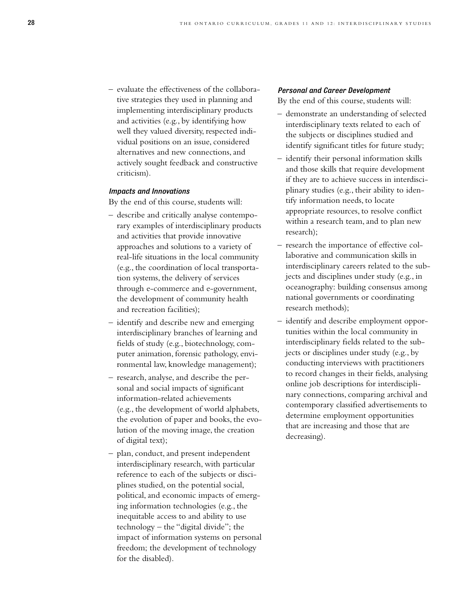– evaluate the effectiveness of the collaborative strategies they used in planning and implementing interdisciplinary products and activities (e.g., by identifying how well they valued diversity, respected individual positions on an issue, considered alternatives and new connections, and actively sought feedback and constructive criticism).

#### *Impacts and Innovations*

By the end of this course, students will:

- describe and critically analyse contemporary examples of interdisciplinary products and activities that provide innovative approaches and solutions to a variety of real-life situations in the local community (e.g., the coordination of local transportation systems, the delivery of services through e-commerce and e-government, the development of community health and recreation facilities);
- identify and describe new and emerging interdisciplinary branches of learning and fields of study (e.g., biotechnology, computer animation, forensic pathology, environmental law, knowledge management);
- research, analyse, and describe the personal and social impacts of significant information-related achievements (e.g., the development of world alphabets, the evolution of paper and books, the evolution of the moving image, the creation of digital text);
- plan, conduct, and present independent interdisciplinary research, with particular reference to each of the subjects or disciplines studied, on the potential social, political, and economic impacts of emerging information technologies (e.g., the inequitable access to and ability to use technology – the "digital divide"; the impact of information systems on personal freedom; the development of technology for the disabled).

#### *Personal and Career Development*

- demonstrate an understanding of selected interdisciplinary texts related to each of the subjects or disciplines studied and identify significant titles for future study;
- identify their personal information skills and those skills that require development if they are to achieve success in interdisciplinary studies (e.g., their ability to identify information needs, to locate appropriate resources, to resolve conflict within a research team, and to plan new research);
- research the importance of effective collaborative and communication skills in interdisciplinary careers related to the subjects and disciplines under study (e.g., in oceanography: building consensus among national governments or coordinating research methods);
- identify and describe employment opportunities within the local community in interdisciplinary fields related to the subjects or disciplines under study (e.g., by conducting interviews with practitioners to record changes in their fields, analysing online job descriptions for interdisciplinary connections, comparing archival and contemporary classified advertisements to determine employment opportunities that are increasing and those that are decreasing).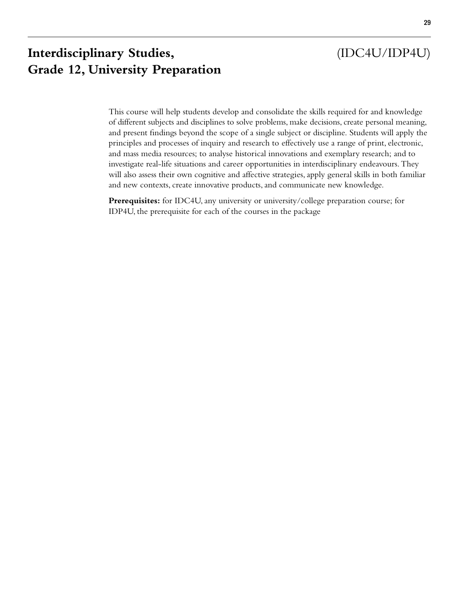### **Interdisciplinary Studies,** (IDC4U/IDP4U) **Grade 12, University Preparation**

This course will help students develop and consolidate the skills required for and knowledge of different subjects and disciplines to solve problems, make decisions, create personal meaning, and present findings beyond the scope of a single subject or discipline. Students will apply the principles and processes of inquiry and research to effectively use a range of print, electronic, and mass media resources; to analyse historical innovations and exemplary research; and to investigate real-life situations and career opportunities in interdisciplinary endeavours. They will also assess their own cognitive and affective strategies, apply general skills in both familiar and new contexts, create innovative products, and communicate new knowledge.

**Prerequisites:** for IDC4U, any university or university/college preparation course; for IDP4U, the prerequisite for each of the courses in the package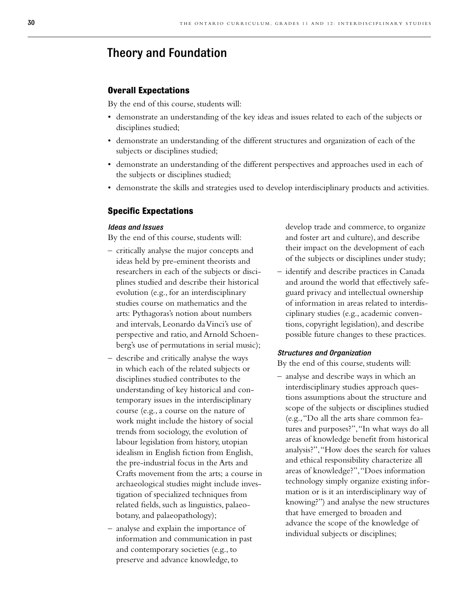### Theory and Foundation

#### **Overall Expectations**

By the end of this course, students will:

- demonstrate an understanding of the key ideas and issues related to each of the subjects or disciplines studied;
- demonstrate an understanding of the different structures and organization of each of the subjects or disciplines studied;
- demonstrate an understanding of the different perspectives and approaches used in each of the subjects or disciplines studied;
- demonstrate the skills and strategies used to develop interdisciplinary products and activities.

#### **Specific Expectations**

#### *Ideas and Issues*

By the end of this course, students will:

- critically analyse the major concepts and ideas held by pre-eminent theorists and researchers in each of the subjects or disciplines studied and describe their historical evolution (e.g., for an interdisciplinary studies course on mathematics and the arts: Pythagoras's notion about numbers and intervals, Leonardo da Vinci's use of perspective and ratio, and Arnold Schoenberg's use of permutations in serial music);
- describe and critically analyse the ways in which each of the related subjects or disciplines studied contributes to the understanding of key historical and contemporary issues in the interdisciplinary course (e.g., a course on the nature of work might include the history of social trends from sociology, the evolution of labour legislation from history, utopian idealism in English fiction from English, the pre-industrial focus in the Arts and Crafts movement from the arts; a course in archaeological studies might include investigation of specialized techniques from related fields, such as linguistics, palaeobotany, and palaeopathology);
- analyse and explain the importance of information and communication in past and contemporary societies (e.g., to preserve and advance knowledge, to

develop trade and commerce, to organize and foster art and culture), and describe their impact on the development of each of the subjects or disciplines under study;

– identify and describe practices in Canada and around the world that effectively safeguard privacy and intellectual ownership of information in areas related to interdisciplinary studies (e.g., academic conventions, copyright legislation), and describe possible future changes to these practices.

#### *Structures and Organization*

By the end of this course, students will:

– analyse and describe ways in which an interdisciplinary studies approach questions assumptions about the structure and scope of the subjects or disciplines studied (e.g.,"Do all the arts share common features and purposes?","In what ways do all areas of knowledge benefit from historical analysis?","How does the search for values and ethical responsibility characterize all areas of knowledge?","Does information technology simply organize existing information or is it an interdisciplinary way of knowing?") and analyse the new structures that have emerged to broaden and advance the scope of the knowledge of individual subjects or disciplines;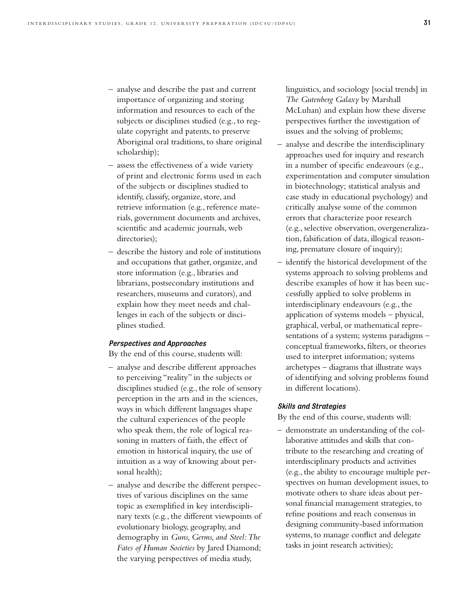- analyse and describe the past and current importance of organizing and storing information and resources to each of the subjects or disciplines studied (e.g., to regulate copyright and patents, to preserve Aboriginal oral traditions, to share original scholarship);
- assess the effectiveness of a wide variety of print and electronic forms used in each of the subjects or disciplines studied to identify, classify, organize, store, and retrieve information (e.g., reference materials, government documents and archives, scientific and academic journals, web directories);
- describe the history and role of institutions and occupations that gather, organize, and store information (e.g., libraries and librarians, postsecondary institutions and researchers, museums and curators), and explain how they meet needs and challenges in each of the subjects or disciplines studied.

#### *Perspectives and Approaches*

By the end of this course, students will:

- analyse and describe different approaches to perceiving "reality" in the subjects or disciplines studied (e.g., the role of sensory perception in the arts and in the sciences, ways in which different languages shape the cultural experiences of the people who speak them, the role of logical reasoning in matters of faith, the effect of emotion in historical inquiry, the use of intuition as a way of knowing about personal health);
- analyse and describe the different perspectives of various disciplines on the same topic as exemplified in key interdisciplinary texts (e.g., the different viewpoints of evolutionary biology, geography, and demography in *Guns, Germs, and Steel:The Fates of Human Societies* by Jared Diamond; the varying perspectives of media study,

linguistics, and sociology [social trends] in *The Gutenberg Galaxy* by Marshall McLuhan) and explain how these diverse perspectives further the investigation of issues and the solving of problems;

- analyse and describe the interdisciplinary approaches used for inquiry and research in a number of specific endeavours (e.g., experimentation and computer simulation in biotechnology; statistical analysis and case study in educational psychology) and critically analyse some of the common errors that characterize poor research (e.g., selective observation, overgeneralization, falsification of data, illogical reasoning, premature closure of inquiry);
- identify the historical development of the systems approach to solving problems and describe examples of how it has been successfully applied to solve problems in interdisciplinary endeavours (e.g., the application of systems models – physical, graphical, verbal, or mathematical representations of a system; systems paradigms – conceptual frameworks, filters, or theories used to interpret information; systems archetypes – diagrams that illustrate ways of identifying and solving problems found in different locations).

#### *Skills and Strategies*

By the end of this course, students will:

– demonstrate an understanding of the collaborative attitudes and skills that contribute to the researching and creating of interdisciplinary products and activities (e.g., the ability to encourage multiple perspectives on human development issues, to motivate others to share ideas about personal financial management strategies, to refine positions and reach consensus in designing community-based information systems, to manage conflict and delegate tasks in joint research activities);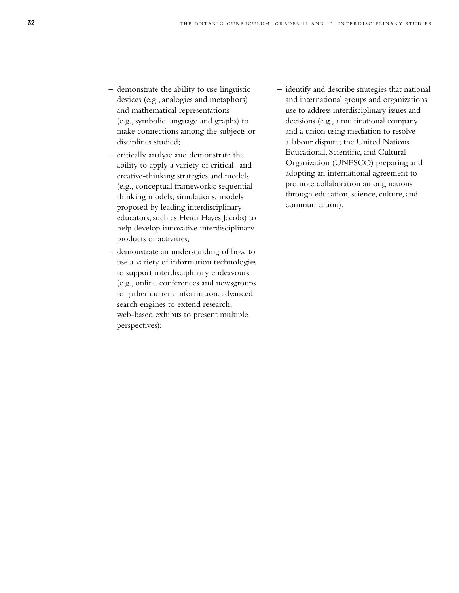- demonstrate the ability to use linguistic devices (e.g., analogies and metaphors) and mathematical representations (e.g., symbolic language and graphs) to make connections among the subjects or disciplines studied;
- critically analyse and demonstrate the ability to apply a variety of critical- and creative-thinking strategies and models (e.g., conceptual frameworks; sequential thinking models; simulations; models proposed by leading interdisciplinary educators, such as Heidi Hayes Jacobs) to help develop innovative interdisciplinary products or activities;
- demonstrate an understanding of how to use a variety of information technologies to support interdisciplinary endeavours (e.g., online conferences and newsgroups to gather current information, advanced search engines to extend research, web-based exhibits to present multiple perspectives);
- identify and describe strategies that national and international groups and organizations use to address interdisciplinary issues and decisions (e.g., a multinational company and a union using mediation to resolve a labour dispute; the United Nations Educational, Scientific, and Cultural Organization (UNESCO) preparing and adopting an international agreement to promote collaboration among nations through education, science, culture, and communication).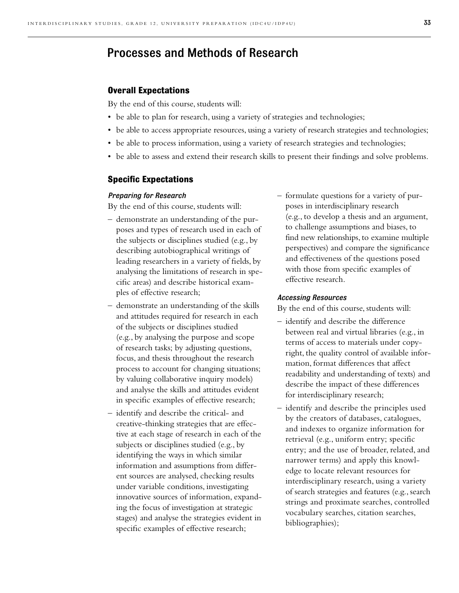### Processes and Methods of Research

#### **Overall Expectations**

By the end of this course, students will:

- be able to plan for research, using a variety of strategies and technologies;
- be able to access appropriate resources, using a variety of research strategies and technologies;
- be able to process information, using a variety of research strategies and technologies;
- be able to assess and extend their research skills to present their findings and solve problems.

#### **Specific Expectations**

#### *Preparing for Research*

By the end of this course, students will:

- demonstrate an understanding of the purposes and types of research used in each of the subjects or disciplines studied (e.g., by describing autobiographical writings of leading researchers in a variety of fields, by analysing the limitations of research in specific areas) and describe historical examples of effective research;
- demonstrate an understanding of the skills and attitudes required for research in each of the subjects or disciplines studied (e.g., by analysing the purpose and scope of research tasks; by adjusting questions, focus, and thesis throughout the research process to account for changing situations; by valuing collaborative inquiry models) and analyse the skills and attitudes evident in specific examples of effective research;
- identify and describe the critical- and creative-thinking strategies that are effective at each stage of research in each of the subjects or disciplines studied (e.g., by identifying the ways in which similar information and assumptions from different sources are analysed, checking results under variable conditions, investigating innovative sources of information, expanding the focus of investigation at strategic stages) and analyse the strategies evident in specific examples of effective research;

– formulate questions for a variety of purposes in interdisciplinary research (e.g., to develop a thesis and an argument, to challenge assumptions and biases, to find new relationships, to examine multiple perspectives) and compare the significance and effectiveness of the questions posed with those from specific examples of effective research.

#### *Accessing Resources*

- identify and describe the difference between real and virtual libraries (e.g., in terms of access to materials under copyright, the quality control of available information, format differences that affect readability and understanding of texts) and describe the impact of these differences for interdisciplinary research;
- identify and describe the principles used by the creators of databases, catalogues, and indexes to organize information for retrieval (e.g., uniform entry; specific entry; and the use of broader, related, and narrower terms) and apply this knowledge to locate relevant resources for interdisciplinary research, using a variety of search strategies and features (e.g., search strings and proximate searches, controlled vocabulary searches, citation searches, bibliographies);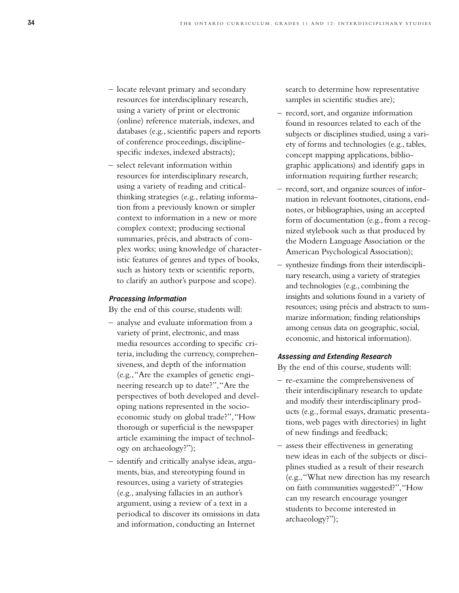- locate relevant primary and secondary resources for interdisciplinary research, using a variety of print or electronic (online) reference materials, indexes, and databases (e.g., scientific papers and reports of conference proceedings, disciplinespecific indexes, indexed abstracts);
- select relevant information within resources for interdisciplinary research, using a variety of reading and criticalthinking strategies (e.g., relating information from a previously known or simpler context to information in a new or more complex context; producing sectional summaries, précis, and abstracts of complex works; using knowledge of characteristic features of genres and types of books, such as history texts or scientific reports, to clarify an author's purpose and scope).

#### *Processing Information*

By the end of this course, students will:

- analyse and evaluate information from a variety of print, electronic, and mass media resources according to specific criteria, including the currency, comprehensiveness, and depth of the information (e.g.,"Are the examples of genetic engineering research up to date?","Are the perspectives of both developed and developing nations represented in the socioeconomic study on global trade?","How thorough or superficial is the newspaper article examining the impact of technology on archaeology?");
- identify and critically analyse ideas, arguments, bias, and stereotyping found in resources, using a variety of strategies (e.g., analysing fallacies in an author's argument, using a review of a text in a periodical to discover its omissions in data and information, conducting an Internet

search to determine how representative samples in scientific studies are);

- record, sort, and organize information found in resources related to each of the subjects or disciplines studied, using a variety of forms and technologies (e.g., tables, concept mapping applications, bibliographic applications) and identify gaps in information requiring further research;
- record, sort, and organize sources of information in relevant footnotes, citations, endnotes, or bibliographies, using an accepted form of documentation (e.g., from a recognized stylebook such as that produced by the Modern Language Association or the American Psychological Association);
- synthesize findings from their interdisciplinary research, using a variety of strategies and technologies (e.g., combining the insights and solutions found in a variety of resources; using précis and abstracts to summarize information; finding relationships among census data on geographic, social, economic, and historical information).

#### *Assessing and Extending Research*

- re-examine the comprehensiveness of their interdisciplinary research to update and modify their interdisciplinary products (e.g., formal essays, dramatic presentations, web pages with directories) in light of new findings and feedback;
- assess their effectiveness in generating new ideas in each of the subjects or disciplines studied as a result of their research (e.g.,"What new direction has my research on faith communities suggested?","How can my research encourage younger students to become interested in archaeology?");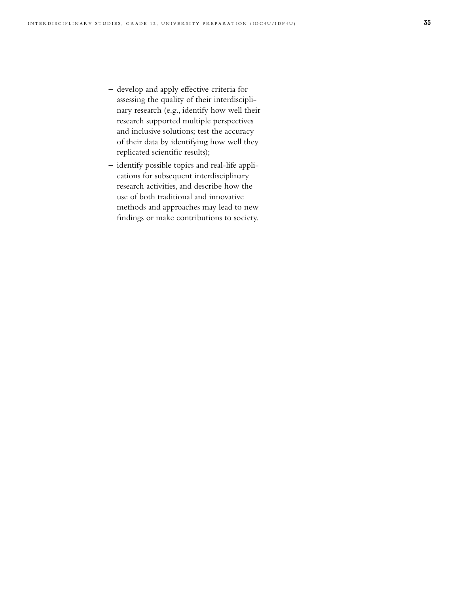- develop and apply effective criteria for assessing the quality of their interdisciplinary research (e.g., identify how well their research supported multiple perspectives and inclusive solutions; test the accuracy of their data by identifying how well they replicated scientific results);
- identify possible topics and real-life applications for subsequent interdisciplinary research activities, and describe how the use of both traditional and innovative methods and approaches may lead to new findings or make contributions to society.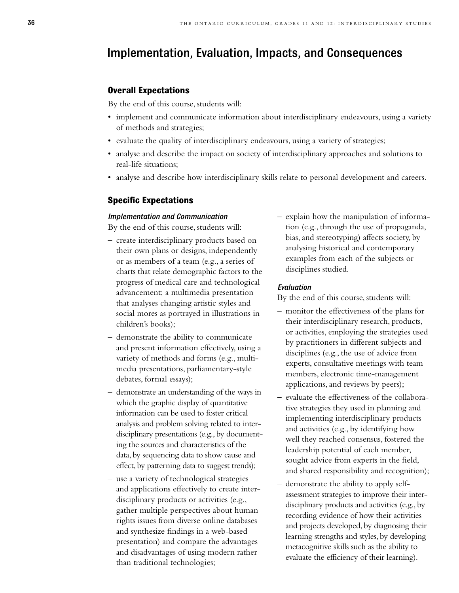### Implementation, Evaluation, Impacts, and Consequences

#### **Overall Expectations**

By the end of this course, students will:

- implement and communicate information about interdisciplinary endeavours, using a variety of methods and strategies;
- evaluate the quality of interdisciplinary endeavours, using a variety of strategies;
- analyse and describe the impact on society of interdisciplinary approaches and solutions to real-life situations;
- analyse and describe how interdisciplinary skills relate to personal development and careers.

#### **Specific Expectations**

#### *Implementation and Communication*

By the end of this course, students will:

- create interdisciplinary products based on their own plans or designs, independently or as members of a team (e.g., a series of charts that relate demographic factors to the progress of medical care and technological advancement; a multimedia presentation that analyses changing artistic styles and social mores as portrayed in illustrations in children's books);
- demonstrate the ability to communicate and present information effectively, using a variety of methods and forms (e.g., multimedia presentations, parliamentary-style debates, formal essays);
- demonstrate an understanding of the ways in which the graphic display of quantitative information can be used to foster critical analysis and problem solving related to interdisciplinary presentations (e.g., by documenting the sources and characteristics of the data, by sequencing data to show cause and effect, by patterning data to suggest trends);
- use a variety of technological strategies and applications effectively to create interdisciplinary products or activities (e.g., gather multiple perspectives about human rights issues from diverse online databases and synthesize findings in a web-based presentation) and compare the advantages and disadvantages of using modern rather than traditional technologies;

– explain how the manipulation of information (e.g., through the use of propaganda, bias, and stereotyping) affects society, by analysing historical and contemporary examples from each of the subjects or disciplines studied.

#### *Evaluation*

- monitor the effectiveness of the plans for their interdisciplinary research, products, or activities, employing the strategies used by practitioners in different subjects and disciplines (e.g., the use of advice from experts, consultative meetings with team members, electronic time-management applications, and reviews by peers);
- evaluate the effectiveness of the collaborative strategies they used in planning and implementing interdisciplinary products and activities (e.g., by identifying how well they reached consensus, fostered the leadership potential of each member, sought advice from experts in the field, and shared responsibility and recognition);
- demonstrate the ability to apply selfassessment strategies to improve their interdisciplinary products and activities (e.g., by recording evidence of how their activities and projects developed, by diagnosing their learning strengths and styles, by developing metacognitive skills such as the ability to evaluate the efficiency of their learning).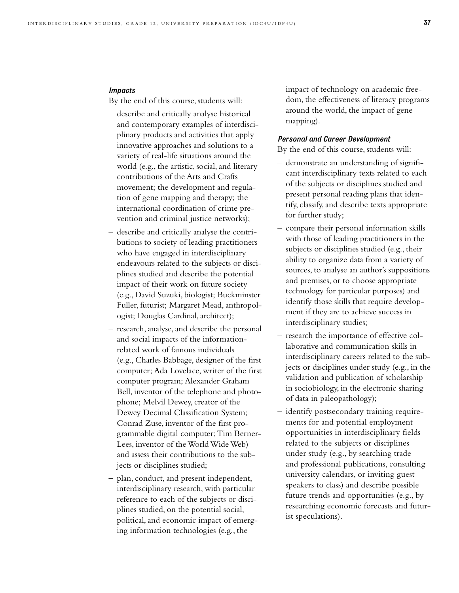#### *Impacts*

By the end of this course, students will:

- describe and critically analyse historical and contemporary examples of interdisciplinary products and activities that apply innovative approaches and solutions to a variety of real-life situations around the world (e.g., the artistic, social, and literary contributions of the Arts and Crafts movement; the development and regulation of gene mapping and therapy; the international coordination of crime prevention and criminal justice networks);
- describe and critically analyse the contributions to society of leading practitioners who have engaged in interdisciplinary endeavours related to the subjects or disciplines studied and describe the potential impact of their work on future society (e.g., David Suzuki, biologist; Buckminster Fuller, futurist; Margaret Mead, anthropologist; Douglas Cardinal, architect);
- research, analyse, and describe the personal and social impacts of the informationrelated work of famous individuals (e.g., Charles Babbage, designer of the first computer; Ada Lovelace, writer of the first computer program; Alexander Graham Bell, inventor of the telephone and photophone; Melvil Dewey, creator of the Dewey Decimal Classification System; Conrad Zuse, inventor of the first programmable digital computer; Tim Berner-Lees, inventor of the World Wide Web) and assess their contributions to the subjects or disciplines studied;
- plan, conduct, and present independent, interdisciplinary research, with particular reference to each of the subjects or disciplines studied, on the potential social, political, and economic impact of emerging information technologies (e.g., the

impact of technology on academic freedom, the effectiveness of literacy programs around the world, the impact of gene mapping).

#### *Personal and Career Development*

- demonstrate an understanding of significant interdisciplinary texts related to each of the subjects or disciplines studied and present personal reading plans that identify, classify, and describe texts appropriate for further study;
- compare their personal information skills with those of leading practitioners in the subjects or disciplines studied (e.g., their ability to organize data from a variety of sources, to analyse an author's suppositions and premises, or to choose appropriate technology for particular purposes) and identify those skills that require development if they are to achieve success in interdisciplinary studies;
- research the importance of effective collaborative and communication skills in interdisciplinary careers related to the subjects or disciplines under study (e.g., in the validation and publication of scholarship in sociobiology, in the electronic sharing of data in paleopathology);
- identify postsecondary training requirements for and potential employment opportunities in interdisciplinary fields related to the subjects or disciplines under study (e.g., by searching trade and professional publications, consulting university calendars, or inviting guest speakers to class) and describe possible future trends and opportunities (e.g., by researching economic forecasts and futurist speculations).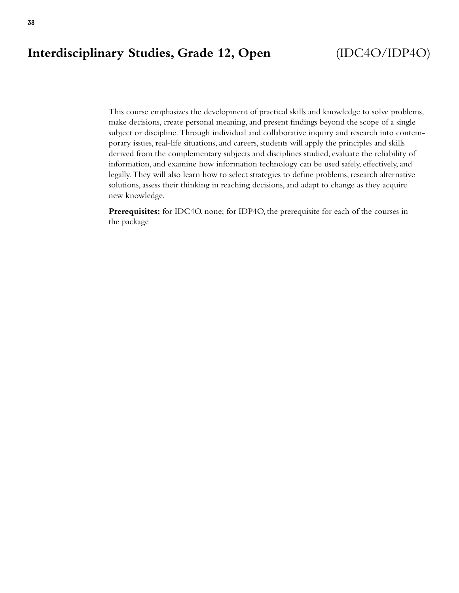### **Interdisciplinary Studies, Grade 12, Open** (IDC4O/IDP4O)

This course emphasizes the development of practical skills and knowledge to solve problems, make decisions, create personal meaning, and present findings beyond the scope of a single subject or discipline. Through individual and collaborative inquiry and research into contemporary issues, real-life situations, and careers, students will apply the principles and skills derived from the complementary subjects and disciplines studied, evaluate the reliability of information, and examine how information technology can be used safely, effectively, and legally. They will also learn how to select strategies to define problems, research alternative solutions, assess their thinking in reaching decisions, and adapt to change as they acquire new knowledge.

**Prerequisites:** for IDC4O, none; for IDP4O, the prerequisite for each of the courses in the package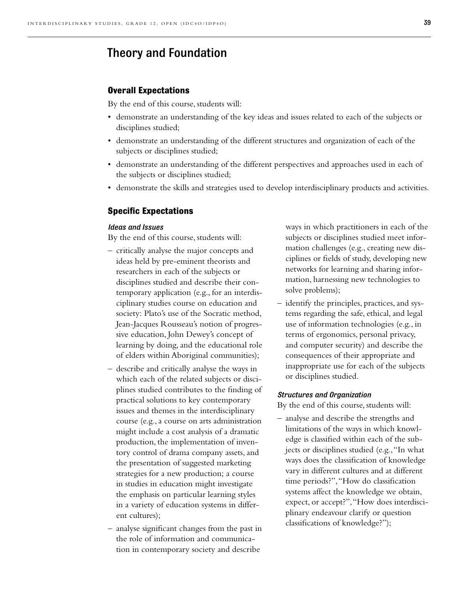### Theory and Foundation

#### **Overall Expectations**

By the end of this course, students will:

- demonstrate an understanding of the key ideas and issues related to each of the subjects or disciplines studied;
- demonstrate an understanding of the different structures and organization of each of the subjects or disciplines studied;
- demonstrate an understanding of the different perspectives and approaches used in each of the subjects or disciplines studied;
- demonstrate the skills and strategies used to develop interdisciplinary products and activities.

#### **Specific Expectations**

#### *Ideas and Issues*

By the end of this course, students will:

- critically analyse the major concepts and ideas held by pre-eminent theorists and researchers in each of the subjects or disciplines studied and describe their contemporary application (e.g., for an interdisciplinary studies course on education and society: Plato's use of the Socratic method, Jean-Jacques Rousseau's notion of progressive education, John Dewey's concept of learning by doing, and the educational role of elders within Aboriginal communities);
- describe and critically analyse the ways in which each of the related subjects or disciplines studied contributes to the finding of practical solutions to key contemporary issues and themes in the interdisciplinary course (e.g., a course on arts administration might include a cost analysis of a dramatic production, the implementation of inventory control of drama company assets, and the presentation of suggested marketing strategies for a new production; a course in studies in education might investigate the emphasis on particular learning styles in a variety of education systems in different cultures);
- analyse significant changes from the past in the role of information and communication in contemporary society and describe

ways in which practitioners in each of the subjects or disciplines studied meet information challenges (e.g., creating new disciplines or fields of study, developing new networks for learning and sharing information, harnessing new technologies to solve problems);

– identify the principles, practices, and systems regarding the safe, ethical, and legal use of information technologies (e.g., in terms of ergonomics, personal privacy, and computer security) and describe the consequences of their appropriate and inappropriate use for each of the subjects or disciplines studied.

#### *Structures and Organization*

By the end of this course, students will:

– analyse and describe the strengths and limitations of the ways in which knowledge is classified within each of the subjects or disciplines studied (e.g.,"In what ways does the classification of knowledge vary in different cultures and at different time periods?","How do classification systems affect the knowledge we obtain, expect, or accept?", "How does interdisciplinary endeavour clarify or question classifications of knowledge?");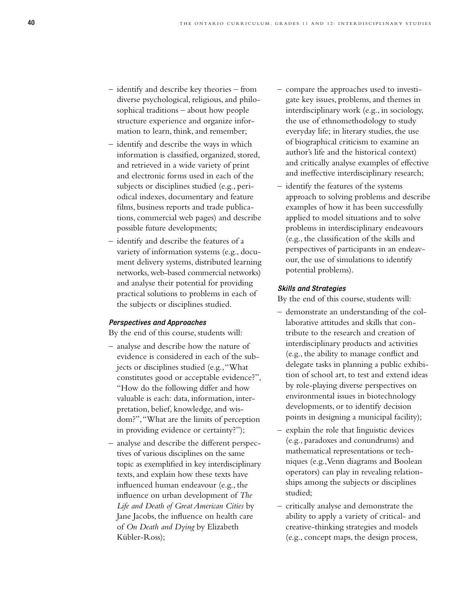- identify and describe key theories from diverse psychological, religious, and philosophical traditions – about how people structure experience and organize information to learn, think, and remember;
- identify and describe the ways in which information is classified, organized, stored, and retrieved in a wide variety of print and electronic forms used in each of the subjects or disciplines studied (e.g., periodical indexes, documentary and feature films, business reports and trade publications, commercial web pages) and describe possible future developments;
- identify and describe the features of a variety of information systems (e.g., document delivery systems, distributed learning networks, web-based commercial networks) and analyse their potential for providing practical solutions to problems in each of the subjects or disciplines studied.

#### *Perspectives and Approaches*

By the end of this course, students will:

- analyse and describe how the nature of evidence is considered in each of the subjects or disciplines studied (e.g.,"What constitutes good or acceptable evidence?", "How do the following differ and how valuable is each: data, information, interpretation, belief, knowledge, and wisdom?","What are the limits of perception in providing evidence or certainty?");
- analyse and describe the different perspectives of various disciplines on the same topic as exemplified in key interdisciplinary texts, and explain how these texts have influenced human endeavour (e.g., the influence on urban development of *The Life and Death of Great American Cities* by Jane Jacobs, the influence on health care of *On Death and Dying* by Elizabeth Kübler-Ross);
- compare the approaches used to investigate key issues, problems, and themes in interdisciplinary work (e.g., in sociology, the use of ethnomethodology to study everyday life; in literary studies, the use of biographical criticism to examine an author's life and the historical context) and critically analyse examples of effective and ineffective interdisciplinary research;
- identify the features of the systems approach to solving problems and describe examples of how it has been successfully applied to model situations and to solve problems in interdisciplinary endeavours (e.g., the classification of the skills and perspectives of participants in an endeavour, the use of simulations to identify potential problems).

#### *Skills and Strategies*

- demonstrate an understanding of the collaborative attitudes and skills that contribute to the research and creation of interdisciplinary products and activities (e.g., the ability to manage conflict and delegate tasks in planning a public exhibition of school art, to test and extend ideas by role-playing diverse perspectives on environmental issues in biotechnology developments, or to identify decision points in designing a municipal facility);
- explain the role that linguistic devices (e.g., paradoxes and conundrums) and mathematical representations or techniques (e.g.,Venn diagrams and Boolean operators) can play in revealing relationships among the subjects or disciplines studied;
- critically analyse and demonstrate the ability to apply a variety of critical- and creative-thinking strategies and models (e.g., concept maps, the design process,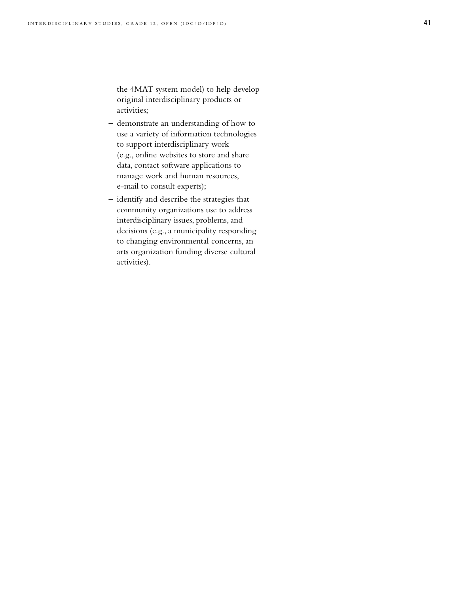the 4MAT system model) to help develop original interdisciplinary products or activities;

- demonstrate an understanding of how to use a variety of information technologies to support interdisciplinary work (e.g., online websites to store and share data, contact software applications to manage work and human resources, e-mail to consult experts);
- identify and describe the strategies that community organizations use to address interdisciplinary issues, problems, and decisions (e.g., a municipality responding to changing environmental concerns, an arts organization funding diverse cultural activities).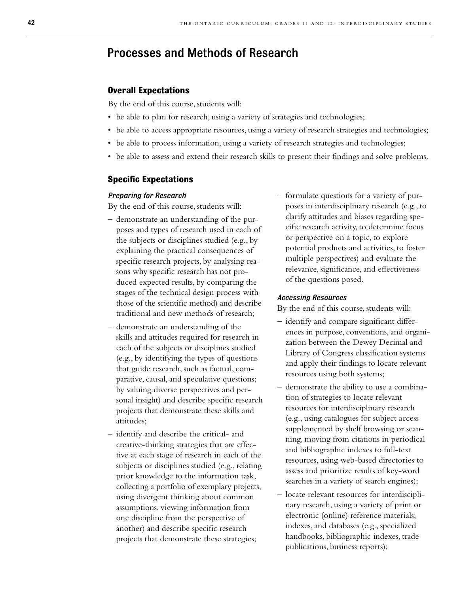### Processes and Methods of Research

#### **Overall Expectations**

By the end of this course, students will:

- be able to plan for research, using a variety of strategies and technologies;
- be able to access appropriate resources, using a variety of research strategies and technologies;
- be able to process information, using a variety of research strategies and technologies;
- be able to assess and extend their research skills to present their findings and solve problems.

#### **Specific Expectations**

#### *Preparing for Research*

By the end of this course, students will:

- demonstrate an understanding of the purposes and types of research used in each of the subjects or disciplines studied (e.g., by explaining the practical consequences of specific research projects, by analysing reasons why specific research has not produced expected results, by comparing the stages of the technical design process with those of the scientific method) and describe traditional and new methods of research;
- demonstrate an understanding of the skills and attitudes required for research in each of the subjects or disciplines studied (e.g., by identifying the types of questions that guide research, such as factual, comparative, causal, and speculative questions; by valuing diverse perspectives and personal insight) and describe specific research projects that demonstrate these skills and attitudes;
- identify and describe the critical- and creative-thinking strategies that are effective at each stage of research in each of the subjects or disciplines studied (e.g., relating prior knowledge to the information task, collecting a portfolio of exemplary projects, using divergent thinking about common assumptions, viewing information from one discipline from the perspective of another) and describe specific research projects that demonstrate these strategies;

– formulate questions for a variety of purposes in interdisciplinary research (e.g., to clarify attitudes and biases regarding specific research activity, to determine focus or perspective on a topic, to explore potential products and activities, to foster multiple perspectives) and evaluate the relevance, significance, and effectiveness of the questions posed.

#### *Accessing Resources*

- identify and compare significant differences in purpose, conventions, and organization between the Dewey Decimal and Library of Congress classification systems and apply their findings to locate relevant resources using both systems;
- demonstrate the ability to use a combination of strategies to locate relevant resources for interdisciplinary research (e.g., using catalogues for subject access supplemented by shelf browsing or scanning, moving from citations in periodical and bibliographic indexes to full-text resources, using web-based directories to assess and prioritize results of key-word searches in a variety of search engines);
- locate relevant resources for interdisciplinary research, using a variety of print or electronic (online) reference materials, indexes, and databases (e.g., specialized handbooks, bibliographic indexes, trade publications, business reports);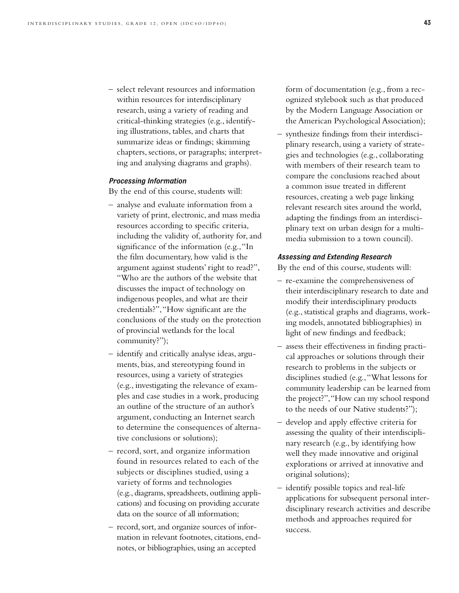– select relevant resources and information within resources for interdisciplinary research, using a variety of reading and critical-thinking strategies (e.g., identifying illustrations, tables, and charts that summarize ideas or findings; skimming chapters, sections, or paragraphs; interpreting and analysing diagrams and graphs).

#### *Processing Information*

By the end of this course, students will:

- analyse and evaluate information from a variety of print, electronic, and mass media resources according to specific criteria, including the validity of, authority for, and significance of the information (e.g., "In the film documentary, how valid is the argument against students' right to read?", "Who are the authors of the website that discusses the impact of technology on indigenous peoples, and what are their credentials?","How significant are the conclusions of the study on the protection of provincial wetlands for the local community?");
- identify and critically analyse ideas, arguments, bias, and stereotyping found in resources, using a variety of strategies (e.g., investigating the relevance of examples and case studies in a work, producing an outline of the structure of an author's argument, conducting an Internet search to determine the consequences of alternative conclusions or solutions);
- record, sort, and organize information found in resources related to each of the subjects or disciplines studied, using a variety of forms and technologies (e.g., diagrams, spreadsheets, outlining applications) and focusing on providing accurate data on the source of all information;
- record, sort, and organize sources of information in relevant footnotes, citations, endnotes, or bibliographies, using an accepted

form of documentation (e.g., from a recognized stylebook such as that produced by the Modern Language Association or the American Psychological Association);

– synthesize findings from their interdisciplinary research, using a variety of strategies and technologies (e.g., collaborating with members of their research team to compare the conclusions reached about a common issue treated in different resources, creating a web page linking relevant research sites around the world, adapting the findings from an interdisciplinary text on urban design for a multimedia submission to a town council).

#### *Assessing and Extending Research*

- re-examine the comprehensiveness of their interdisciplinary research to date and modify their interdisciplinary products (e.g., statistical graphs and diagrams, working models, annotated bibliographies) in light of new findings and feedback;
- assess their effectiveness in finding practical approaches or solutions through their research to problems in the subjects or disciplines studied (e.g.,"What lessons for community leadership can be learned from the project?","How can my school respond to the needs of our Native students?");
- develop and apply effective criteria for assessing the quality of their interdisciplinary research (e.g., by identifying how well they made innovative and original explorations or arrived at innovative and original solutions);
- identify possible topics and real-life applications for subsequent personal interdisciplinary research activities and describe methods and approaches required for success.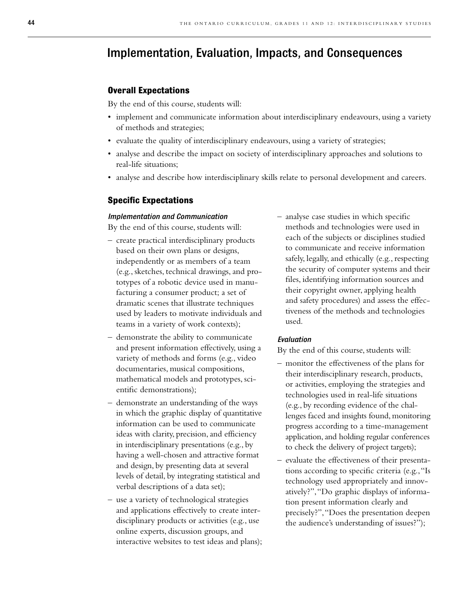### Implementation, Evaluation, Impacts, and Consequences

#### **Overall Expectations**

By the end of this course, students will:

- implement and communicate information about interdisciplinary endeavours, using a variety of methods and strategies;
- evaluate the quality of interdisciplinary endeavours, using a variety of strategies;
- analyse and describe the impact on society of interdisciplinary approaches and solutions to real-life situations;
- analyse and describe how interdisciplinary skills relate to personal development and careers.

#### **Specific Expectations**

#### *Implementation and Communication*

By the end of this course, students will:

- create practical interdisciplinary products based on their own plans or designs, independently or as members of a team (e.g., sketches, technical drawings, and prototypes of a robotic device used in manufacturing a consumer product; a set of dramatic scenes that illustrate techniques used by leaders to motivate individuals and teams in a variety of work contexts);
- demonstrate the ability to communicate and present information effectively, using a variety of methods and forms (e.g., video documentaries, musical compositions, mathematical models and prototypes, scientific demonstrations);
- demonstrate an understanding of the ways in which the graphic display of quantitative information can be used to communicate ideas with clarity, precision, and efficiency in interdisciplinary presentations (e.g., by having a well-chosen and attractive format and design, by presenting data at several levels of detail, by integrating statistical and verbal descriptions of a data set);
- use a variety of technological strategies and applications effectively to create interdisciplinary products or activities (e.g., use online experts, discussion groups, and interactive websites to test ideas and plans);

– analyse case studies in which specific methods and technologies were used in each of the subjects or disciplines studied to communicate and receive information safely, legally, and ethically (e.g., respecting the security of computer systems and their files, identifying information sources and their copyright owner, applying health and safety procedures) and assess the effectiveness of the methods and technologies used.

#### *Evaluation*

- monitor the effectiveness of the plans for their interdisciplinary research, products, or activities, employing the strategies and technologies used in real-life situations (e.g., by recording evidence of the challenges faced and insights found, monitoring progress according to a time-management application, and holding regular conferences to check the delivery of project targets);
- evaluate the effectiveness of their presentations according to specific criteria (e.g.,"Is technology used appropriately and innovatively?","Do graphic displays of information present information clearly and precisely?","Does the presentation deepen the audience's understanding of issues?");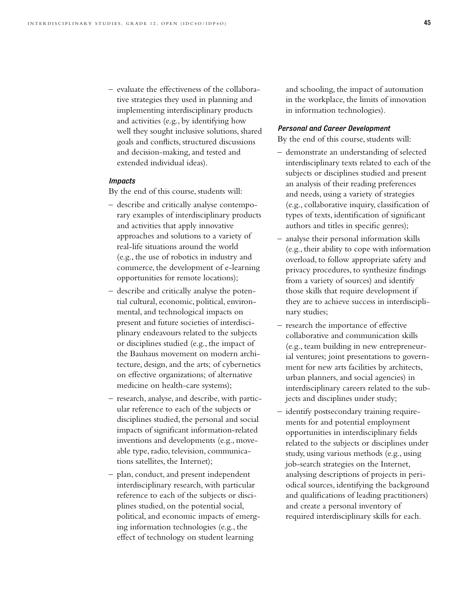– evaluate the effectiveness of the collaborative strategies they used in planning and implementing interdisciplinary products and activities (e.g., by identifying how well they sought inclusive solutions, shared goals and conflicts, structured discussions and decision-making, and tested and extended individual ideas).

#### *Impacts*

By the end of this course, students will:

- describe and critically analyse contemporary examples of interdisciplinary products and activities that apply innovative approaches and solutions to a variety of real-life situations around the world (e.g., the use of robotics in industry and commerce, the development of e-learning opportunities for remote locations);
- describe and critically analyse the potential cultural, economic, political, environmental, and technological impacts on present and future societies of interdisciplinary endeavours related to the subjects or disciplines studied (e.g., the impact of the Bauhaus movement on modern architecture, design, and the arts; of cybernetics on effective organizations; of alternative medicine on health-care systems);
- research, analyse, and describe, with particular reference to each of the subjects or disciplines studied, the personal and social impacts of significant information-related inventions and developments (e.g., moveable type, radio, television, communications satellites, the Internet);
- plan, conduct, and present independent interdisciplinary research, with particular reference to each of the subjects or disciplines studied, on the potential social, political, and economic impacts of emerging information technologies (e.g., the effect of technology on student learning

and schooling, the impact of automation in the workplace, the limits of innovation in information technologies).

#### *Personal and Career Development*

- demonstrate an understanding of selected interdisciplinary texts related to each of the subjects or disciplines studied and present an analysis of their reading preferences and needs, using a variety of strategies (e.g., collaborative inquiry, classification of types of texts, identification of significant authors and titles in specific genres);
- analyse their personal information skills (e.g., their ability to cope with information overload, to follow appropriate safety and privacy procedures, to synthesize findings from a variety of sources) and identify those skills that require development if they are to achieve success in interdisciplinary studies;
- research the importance of effective collaborative and communication skills (e.g., team building in new entrepreneurial ventures; joint presentations to government for new arts facilities by architects, urban planners, and social agencies) in interdisciplinary careers related to the subjects and disciplines under study;
- identify postsecondary training requirements for and potential employment opportunities in interdisciplinary fields related to the subjects or disciplines under study, using various methods (e.g., using job-search strategies on the Internet, analysing descriptions of projects in periodical sources, identifying the background and qualifications of leading practitioners) and create a personal inventory of required interdisciplinary skills for each.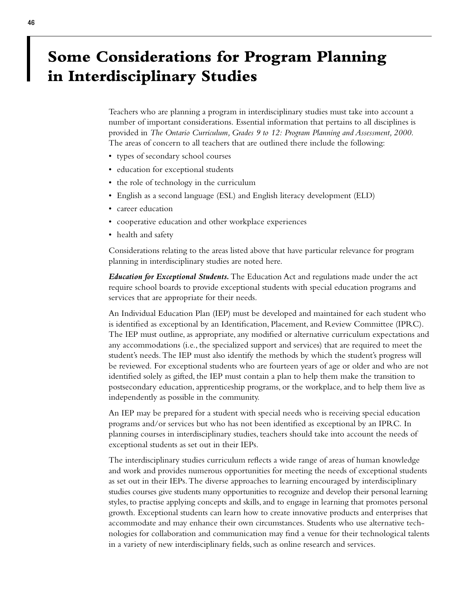## **Some Considerations for Program Planning in Interdisciplinary Studies**

Teachers who are planning a program in interdisciplinary studies must take into account a number of important considerations. Essential information that pertains to all disciplines is provided in *The Ontario Curriculum, Grades 9 to 12: Program Planning and Assessment, 2000*. The areas of concern to all teachers that are outlined there include the following:

- types of secondary school courses
- education for exceptional students
- the role of technology in the curriculum
- English as a second language (ESL) and English literacy development (ELD)
- career education
- cooperative education and other workplace experiences
- health and safety

Considerations relating to the areas listed above that have particular relevance for program planning in interdisciplinary studies are noted here.

*Education for Exceptional Students.*The Education Act and regulations made under the act require school boards to provide exceptional students with special education programs and services that are appropriate for their needs.

An Individual Education Plan (IEP) must be developed and maintained for each student who is identified as exceptional by an Identification, Placement, and Review Committee (IPRC). The IEP must outline, as appropriate, any modified or alternative curriculum expectations and any accommodations (i.e., the specialized support and services) that are required to meet the student's needs. The IEP must also identify the methods by which the student's progress will be reviewed. For exceptional students who are fourteen years of age or older and who are not identified solely as gifted, the IEP must contain a plan to help them make the transition to postsecondary education, apprenticeship programs, or the workplace, and to help them live as independently as possible in the community.

An IEP may be prepared for a student with special needs who is receiving special education programs and/or services but who has not been identified as exceptional by an IPRC. In planning courses in interdisciplinary studies, teachers should take into account the needs of exceptional students as set out in their IEPs.

The interdisciplinary studies curriculum reflects a wide range of areas of human knowledge and work and provides numerous opportunities for meeting the needs of exceptional students as set out in their IEPs. The diverse approaches to learning encouraged by interdisciplinary studies courses give students many opportunities to recognize and develop their personal learning styles, to practise applying concepts and skills, and to engage in learning that promotes personal growth. Exceptional students can learn how to create innovative products and enterprises that accommodate and may enhance their own circumstances. Students who use alternative technologies for collaboration and communication may find a venue for their technological talents in a variety of new interdisciplinary fields, such as online research and services.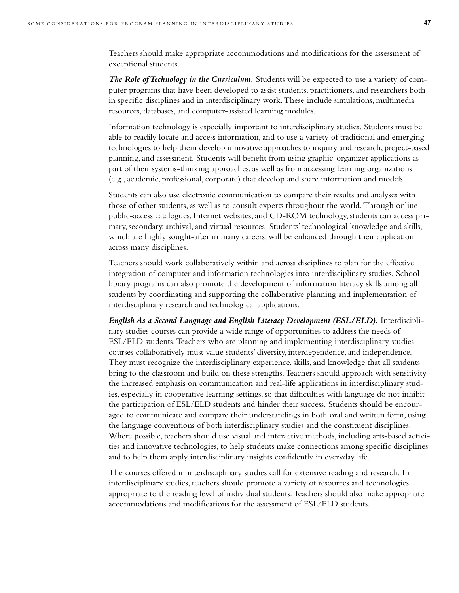Teachers should make appropriate accommodations and modifications for the assessment of exceptional students.

*The Role of Technology in the Curriculum.* Students will be expected to use a variety of computer programs that have been developed to assist students, practitioners, and researchers both in specific disciplines and in interdisciplinary work. These include simulations, multimedia resources, databases, and computer-assisted learning modules.

Information technology is especially important to interdisciplinary studies. Students must be able to readily locate and access information, and to use a variety of traditional and emerging technologies to help them develop innovative approaches to inquiry and research, project-based planning, and assessment. Students will benefit from using graphic-organizer applications as part of their systems-thinking approaches, as well as from accessing learning organizations (e.g., academic, professional, corporate) that develop and share information and models.

Students can also use electronic communication to compare their results and analyses with those of other students, as well as to consult experts throughout the world. Through online public-access catalogues, Internet websites, and CD-ROM technology, students can access primary, secondary, archival, and virtual resources. Students' technological knowledge and skills, which are highly sought-after in many careers, will be enhanced through their application across many disciplines.

Teachers should work collaboratively within and across disciplines to plan for the effective integration of computer and information technologies into interdisciplinary studies. School library programs can also promote the development of information literacy skills among all students by coordinating and supporting the collaborative planning and implementation of interdisciplinary research and technological applications.

*English As a Second Language and English Literacy Development (ESL/ELD).* Interdisciplinary studies courses can provide a wide range of opportunities to address the needs of ESL/ELD students. Teachers who are planning and implementing interdisciplinary studies courses collaboratively must value students' diversity, interdependence, and independence. They must recognize the interdisciplinary experience, skills, and knowledge that all students bring to the classroom and build on these strengths. Teachers should approach with sensitivity the increased emphasis on communication and real-life applications in interdisciplinary studies, especially in cooperative learning settings, so that difficulties with language do not inhibit the participation of ESL/ELD students and hinder their success. Students should be encouraged to communicate and compare their understandings in both oral and written form, using the language conventions of both interdisciplinary studies and the constituent disciplines. Where possible, teachers should use visual and interactive methods, including arts-based activities and innovative technologies, to help students make connections among specific disciplines and to help them apply interdisciplinary insights confidently in everyday life.

The courses offered in interdisciplinary studies call for extensive reading and research. In interdisciplinary studies, teachers should promote a variety of resources and technologies appropriate to the reading level of individual students. Teachers should also make appropriate accommodations and modifications for the assessment of ESL/ELD students.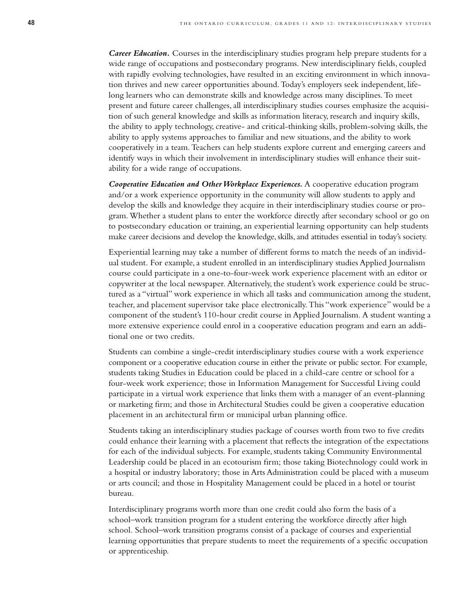*Career Education.* Courses in the interdisciplinary studies program help prepare students for a wide range of occupations and postsecondary programs. New interdisciplinary fields, coupled with rapidly evolving technologies, have resulted in an exciting environment in which innovation thrives and new career opportunities abound. Today's employers seek independent, lifelong learners who can demonstrate skills and knowledge across many disciplines. To meet present and future career challenges, all interdisciplinary studies courses emphasize the acquisition of such general knowledge and skills as information literacy, research and inquiry skills, the ability to apply technology, creative- and critical-thinking skills, problem-solving skills, the ability to apply systems approaches to familiar and new situations, and the ability to work cooperatively in a team. Teachers can help students explore current and emerging careers and identify ways in which their involvement in interdisciplinary studies will enhance their suitability for a wide range of occupations.

*Cooperative Education and Other Workplace Experiences.* A cooperative education program and/or a work experience opportunity in the community will allow students to apply and develop the skills and knowledge they acquire in their interdisciplinary studies course or program. Whether a student plans to enter the workforce directly after secondary school or go on to postsecondary education or training, an experiential learning opportunity can help students make career decisions and develop the knowledge, skills, and attitudes essential in today's society.

Experiential learning may take a number of different forms to match the needs of an individual student. For example, a student enrolled in an interdisciplinary studies Applied Journalism course could participate in a one-to-four-week work experience placement with an editor or copywriter at the local newspaper. Alternatively, the student's work experience could be structured as a "virtual" work experience in which all tasks and communication among the student, teacher, and placement supervisor take place electronically. This "work experience" would be a component of the student's 110-hour credit course in Applied Journalism. A student wanting a more extensive experience could enrol in a cooperative education program and earn an additional one or two credits.

Students can combine a single-credit interdisciplinary studies course with a work experience component or a cooperative education course in either the private or public sector. For example, students taking Studies in Education could be placed in a child-care centre or school for a four-week work experience; those in Information Management for Successful Living could participate in a virtual work experience that links them with a manager of an event-planning or marketing firm; and those in Architectural Studies could be given a cooperative education placement in an architectural firm or municipal urban planning office.

Students taking an interdisciplinary studies package of courses worth from two to five credits could enhance their learning with a placement that reflects the integration of the expectations for each of the individual subjects. For example, students taking Community Environmental Leadership could be placed in an ecotourism firm; those taking Biotechnology could work in a hospital or industry laboratory; those in Arts Administration could be placed with a museum or arts council; and those in Hospitality Management could be placed in a hotel or tourist bureau.

Interdisciplinary programs worth more than one credit could also form the basis of a school–work transition program for a student entering the workforce directly after high school. School–work transition programs consist of a package of courses and experiential learning opportunities that prepare students to meet the requirements of a specific occupation or apprenticeship.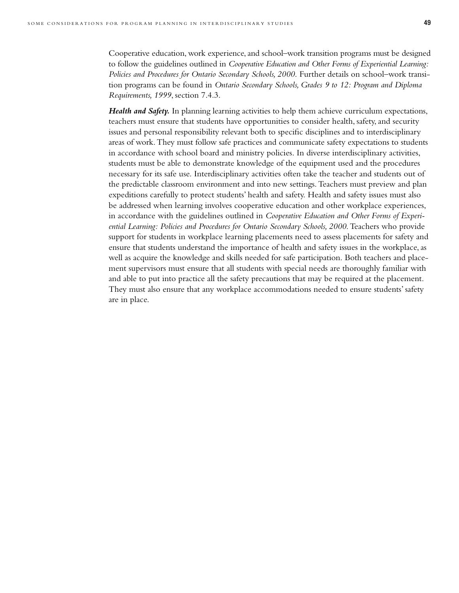Cooperative education, work experience, and school–work transition programs must be designed to follow the guidelines outlined in *Cooperative Education and Other Forms of Experiential Learning: Policies and Procedures for Ontario Secondary Schools, 2000*. Further details on school–work transition programs can be found in *Ontario Secondary Schools, Grades 9 to 12: Program and Diploma Requirements, 1999*, section 7.4.3.

*Health and Safety.* In planning learning activities to help them achieve curriculum expectations, teachers must ensure that students have opportunities to consider health, safety, and security issues and personal responsibility relevant both to specific disciplines and to interdisciplinary areas of work. They must follow safe practices and communicate safety expectations to students in accordance with school board and ministry policies. In diverse interdisciplinary activities, students must be able to demonstrate knowledge of the equipment used and the procedures necessary for its safe use. Interdisciplinary activities often take the teacher and students out of the predictable classroom environment and into new settings. Teachers must preview and plan expeditions carefully to protect students' health and safety. Health and safety issues must also be addressed when learning involves cooperative education and other workplace experiences, in accordance with the guidelines outlined in *Cooperative Education and Other Forms of Experiential Learning: Policies and Procedures for Ontario Secondary Schools, 2000*. Teachers who provide support for students in workplace learning placements need to assess placements for safety and ensure that students understand the importance of health and safety issues in the workplace, as well as acquire the knowledge and skills needed for safe participation. Both teachers and placement supervisors must ensure that all students with special needs are thoroughly familiar with and able to put into practice all the safety precautions that may be required at the placement. They must also ensure that any workplace accommodations needed to ensure students' safety are in place.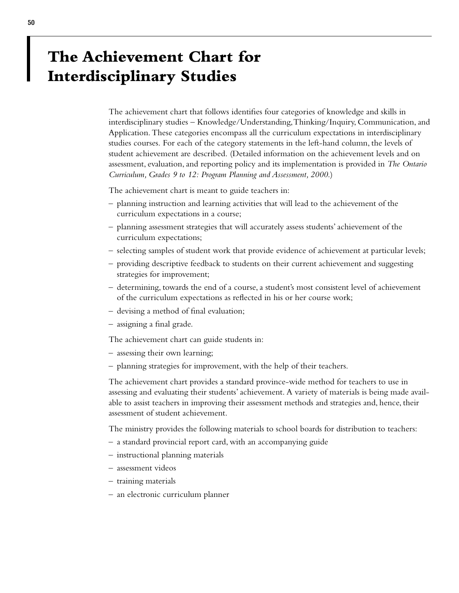# **The Achievement Chart for Interdisciplinary Studies**

The achievement chart that follows identifies four categories of knowledge and skills in interdisciplinary studies – Knowledge/Understanding,Thinking/Inquiry, Communication, and Application. These categories encompass all the curriculum expectations in interdisciplinary studies courses. For each of the category statements in the left-hand column, the levels of student achievement are described. (Detailed information on the achievement levels and on assessment, evaluation, and reporting policy and its implementation is provided in *The Ontario Curriculum, Grades 9 to 12: Program Planning and Assessment, 2000*.)

The achievement chart is meant to guide teachers in:

- planning instruction and learning activities that will lead to the achievement of the curriculum expectations in a course;
- planning assessment strategies that will accurately assess students' achievement of the curriculum expectations;
- selecting samples of student work that provide evidence of achievement at particular levels;
- providing descriptive feedback to students on their current achievement and suggesting strategies for improvement;
- determining, towards the end of a course, a student's most consistent level of achievement of the curriculum expectations as reflected in his or her course work;
- devising a method of final evaluation;
- assigning a final grade.

The achievement chart can guide students in:

- assessing their own learning;
- planning strategies for improvement, with the help of their teachers.

The achievement chart provides a standard province-wide method for teachers to use in assessing and evaluating their students' achievement. A variety of materials is being made available to assist teachers in improving their assessment methods and strategies and, hence, their assessment of student achievement.

The ministry provides the following materials to school boards for distribution to teachers:

- a standard provincial report card, with an accompanying guide
- instructional planning materials
- assessment videos
- training materials
- an electronic curriculum planner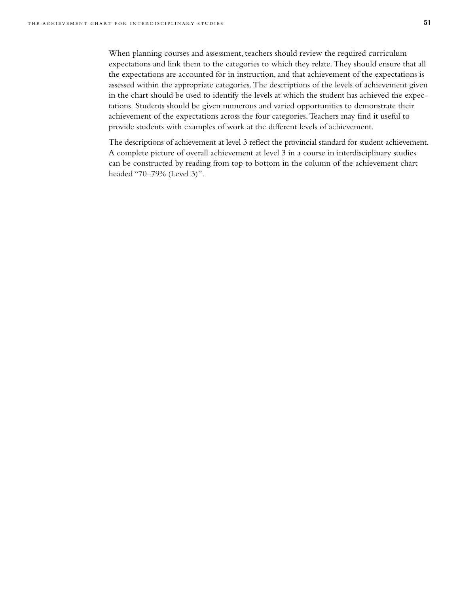When planning courses and assessment, teachers should review the required curriculum expectations and link them to the categories to which they relate. They should ensure that all the expectations are accounted for in instruction, and that achievement of the expectations is assessed within the appropriate categories. The descriptions of the levels of achievement given in the chart should be used to identify the levels at which the student has achieved the expectations. Students should be given numerous and varied opportunities to demonstrate their achievement of the expectations across the four categories. Teachers may find it useful to provide students with examples of work at the different levels of achievement.

The descriptions of achievement at level 3 reflect the provincial standard for student achievement. A complete picture of overall achievement at level 3 in a course in interdisciplinary studies can be constructed by reading from top to bottom in the column of the achievement chart headed "70–79% (Level 3)".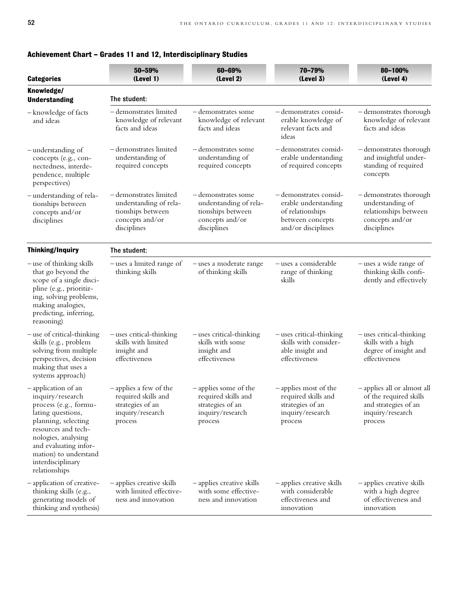| <b>Categories</b>                                                                                                                                                                                                                                 | 50-59%<br>(Level 1)                                                                                     | 60-69%<br>(Level 2)                                                                                  | 70-79%<br>(Level 3)                                                                                         | 80-100%<br>(Level 4)                                                                                         |  |  |  |
|---------------------------------------------------------------------------------------------------------------------------------------------------------------------------------------------------------------------------------------------------|---------------------------------------------------------------------------------------------------------|------------------------------------------------------------------------------------------------------|-------------------------------------------------------------------------------------------------------------|--------------------------------------------------------------------------------------------------------------|--|--|--|
| Knowledge/<br><b>Understanding</b>                                                                                                                                                                                                                | The student:                                                                                            |                                                                                                      |                                                                                                             |                                                                                                              |  |  |  |
| -knowledge of facts<br>and ideas                                                                                                                                                                                                                  | - demonstrates limited<br>knowledge of relevant<br>facts and ideas                                      | – demonstrates some<br>knowledge of relevant<br>facts and ideas                                      | -demonstrates consid-<br>erable knowledge of<br>relevant facts and<br>ideas                                 | - demonstrates thorough<br>knowledge of relevant<br>facts and ideas                                          |  |  |  |
| -understanding of<br>concepts (e.g., con-<br>nectedness, interde-<br>pendence, multiple<br>perspectives)                                                                                                                                          | - demonstrates limited<br>understanding of<br>required concepts                                         | – demonstrates some<br>understanding of<br>required concepts                                         | – demonstrates consid-<br>erable understanding<br>of required concepts                                      | - demonstrates thorough<br>and insightful under-<br>standing of required<br>concepts                         |  |  |  |
| – understanding of rela-<br>tionships between<br>concepts and/or<br>disciplines                                                                                                                                                                   | - demonstrates limited<br>understanding of rela-<br>tionships between<br>concepts and/or<br>disciplines | - demonstrates some<br>understanding of rela-<br>tionships between<br>concepts and/or<br>disciplines | -demonstrates consid-<br>erable understanding<br>of relationships<br>between concepts<br>and/or disciplines | - demonstrates thorough<br>understanding of<br>relationships between<br>concepts and/or<br>disciplines       |  |  |  |
| <b>Thinking/Inquiry</b>                                                                                                                                                                                                                           | The student:                                                                                            |                                                                                                      |                                                                                                             |                                                                                                              |  |  |  |
| -use of thinking skills<br>that go beyond the<br>scope of a single disci-<br>pline (e.g., prioritiz-<br>ing, solving problems,<br>making analogies,<br>predicting, inferring,<br>reasoning)                                                       | -uses a limited range of<br>thinking skills                                                             | - uses a moderate range<br>of thinking skills                                                        | -uses a considerable<br>range of thinking<br>skills                                                         | -uses a wide range of<br>thinking skills confi-<br>dently and effectively                                    |  |  |  |
| - use of critical-thinking<br>skills (e.g., problem<br>solving from multiple<br>perspectives, decision<br>making that uses a<br>systems approach)                                                                                                 | - uses critical-thinking<br>skills with limited<br>insight and<br>effectiveness                         | - uses critical-thinking<br>skills with some<br>insight and<br>effectiveness                         | $-$ uses critical-thinking<br>skills with consider-<br>able insight and<br>effectiveness                    | - uses critical-thinking<br>skills with a high<br>degree of insight and<br>effectiveness                     |  |  |  |
| -application of an<br>inquiry/research<br>process (e.g., formu-<br>lating questions,<br>planning, selecting<br>resources and tech-<br>nologies, analysing<br>and evaluating infor-<br>mation) to understand<br>interdisciplinary<br>relationships | -applies a few of the<br>required skills and<br>strategies of an<br>inquiry/research<br>process         | -applies some of the<br>required skills and<br>strategies of an<br>inquiry/research<br>process       | -applies most of the<br>required skills and<br>strategies of an<br>inquiry/research<br>process              | - applies all or almost all<br>of the required skills<br>and strategies of an<br>inquiry/research<br>process |  |  |  |
| -application of creative-<br>thinking skills (e.g.,<br>generating models of<br>thinking and synthesis)                                                                                                                                            | - applies creative skills<br>with limited effective-<br>ness and innovation                             | - applies creative skills<br>with some effective-<br>ness and innovation                             | - applies creative skills<br>with considerable<br>effectiveness and<br>innovation                           | - applies creative skills<br>with a high degree<br>of effectiveness and<br>innovation                        |  |  |  |

### **Achievement Chart – Grades 11 and 12, Interdisciplinary Studies**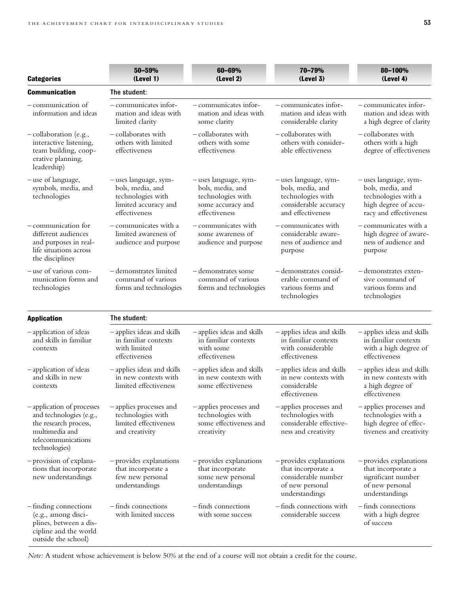| <b>Categories</b>                                                                                                                       | 50-59%<br>(Level 1)                                                                                     | 60-69%<br>(Level 2)                                                                                 | 70-79%<br>(Level 3)                                                                                         | 80-100%<br>(Level 4)                                                                                               |  |  |  |
|-----------------------------------------------------------------------------------------------------------------------------------------|---------------------------------------------------------------------------------------------------------|-----------------------------------------------------------------------------------------------------|-------------------------------------------------------------------------------------------------------------|--------------------------------------------------------------------------------------------------------------------|--|--|--|
| <b>Communication</b>                                                                                                                    | The student:                                                                                            |                                                                                                     |                                                                                                             |                                                                                                                    |  |  |  |
| - communication of<br>information and ideas                                                                                             | $-$ communicates infor-<br>mation and ideas with<br>limited clarity                                     | $-$ communicates infor-<br>mation and ideas with<br>some clarity                                    | - communicates infor-<br>mation and ideas with<br>considerable clarity                                      | $-$ communicates infor-<br>mation and ideas with<br>a high degree of clarity                                       |  |  |  |
| - collaboration (e.g.,<br>interactive listening,<br>team building, coop-<br>erative planning,<br>leadership)                            | - collaborates with<br>others with limited<br>effectiveness                                             | - collaborates with<br>others with some<br>effectiveness                                            | - collaborates with<br>others with consider-<br>able effectiveness                                          | – collaborates with<br>others with a high<br>degree of effectiveness                                               |  |  |  |
| - use of language,<br>symbols, media, and<br>technologies                                                                               | - uses language, sym-<br>bols, media, and<br>technologies with<br>limited accuracy and<br>effectiveness | -uses language, sym-<br>bols, media, and<br>technologies with<br>some accuracy and<br>effectiveness | -uses language, sym-<br>bols, media, and<br>technologies with<br>considerable accuracy<br>and effectiveness | - uses language, sym-<br>bols, media, and<br>technologies with a<br>high degree of accu-<br>racy and effectiveness |  |  |  |
| - communication for<br>different audiences<br>and purposes in real-<br>life situations across<br>the disciplines                        | - communicates with a<br>limited awareness of<br>audience and purpose                                   | - communicates with<br>some awareness of<br>audience and purpose                                    | - communicates with<br>considerable aware-<br>ness of audience and<br>purpose                               | - communicates with a<br>high degree of aware-<br>ness of audience and<br>purpose                                  |  |  |  |
| - use of various com-<br>munication forms and<br>technologies                                                                           | - demonstrates limited<br>command of various<br>forms and technologies                                  | - demonstrates some<br>command of various<br>forms and technologies                                 | -demonstrates consid-<br>erable command of<br>various forms and<br>technologies                             | – demonstrates exten-<br>sive command of<br>various forms and<br>technologies                                      |  |  |  |
| <b>Application</b>                                                                                                                      | The student:                                                                                            |                                                                                                     |                                                                                                             |                                                                                                                    |  |  |  |
| -application of ideas<br>and skills in familiar<br>contexts                                                                             | - applies ideas and skills<br>in familiar contexts<br>with limited<br>effectiveness                     | - applies ideas and skills<br>in familiar contexts<br>with some<br>effectiveness                    | - applies ideas and skills<br>in familiar contexts<br>with considerable<br>effectiveness                    | - applies ideas and skills<br>in familiar contexts<br>with a high degree of<br>effectiveness                       |  |  |  |
| -application of ideas<br>and skills in new<br>contexts                                                                                  | - applies ideas and skills<br>in new contexts with<br>limited effectiveness                             | -applies ideas and skills<br>in new contexts with<br>some effectiveness                             | - applies ideas and skills<br>in new contexts with<br>considerable<br>effectiveness                         | - applies ideas and skills<br>in new contexts with<br>a high degree of<br>effectiveness                            |  |  |  |
| - application of processes<br>and technologies (e.g.,<br>the research process,<br>multimedia and<br>telecommunications<br>technologies) | -applies processes and<br>technologies with<br>limited effectiveness<br>and creativity                  | -applies processes and<br>technologies with<br>some effectiveness and<br>creativity                 | - applies processes and<br>technologies with<br>considerable effective-<br>ness and creativity              | - applies processes and<br>technologies with a<br>high degree of effec-<br>tiveness and creativity                 |  |  |  |
| -provision of explana-<br>tions that incorporate<br>new understandings                                                                  | - provides explanations<br>that incorporate a<br>few new personal<br>understandings                     | - provides explanations<br>that incorporate<br>some new personal<br>understandings                  | - provides explanations<br>that incorporate a<br>considerable number<br>of new personal<br>understandings   | - provides explanations<br>that incorporate a<br>significant number<br>of new personal<br>understandings           |  |  |  |
| -finding connections<br>(e.g., among disci-<br>plines, between a dis-<br>cipline and the world<br>outside the school)                   | -finds connections<br>with limited success                                                              | -finds connections<br>with some success                                                             | -finds connections with<br>considerable success                                                             | -finds connections<br>with a high degree<br>of success                                                             |  |  |  |

*Note:* A student whose achievement is below 50% at the end of a course will not obtain a credit for the course.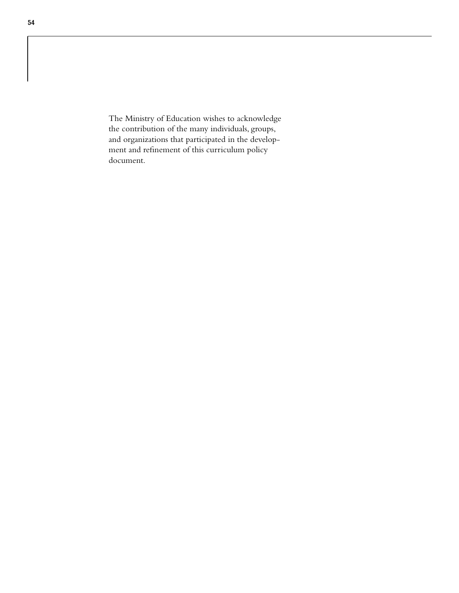The Ministry of Education wishes to acknowledge the contribution of the many individuals, groups, and organizations that participated in the development and refinement of this curriculum policy document.